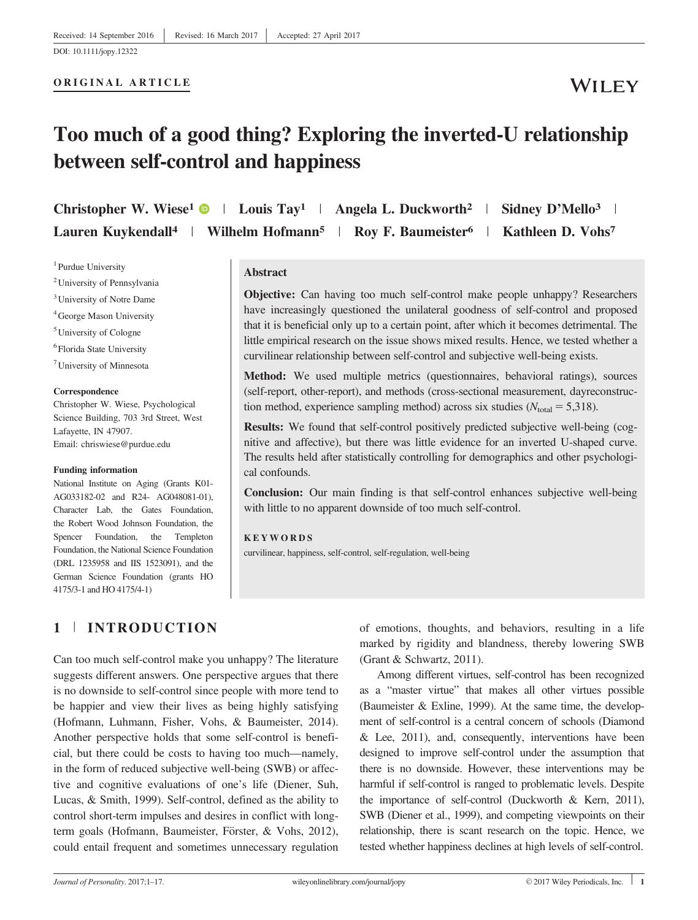### ORIGINAL ARTICLE

# **WILEY**

# Too much of a good thing? Exploring the inverted-U relationship between self-control and happiness

| Christopher W. Wiese <sup>1</sup> $\bullet$   Louis Tay <sup>1</sup>   Angela L. Duckworth <sup>2</sup>   Sidney D'Mello <sup>3</sup> |                              |                                                                |  |
|---------------------------------------------------------------------------------------------------------------------------------------|------------------------------|----------------------------------------------------------------|--|
| Lauren Kuykendall <sup>4</sup>                                                                                                        | Wilhelm Hofmann <sup>5</sup> | Roy F. Baumeister <sup>6</sup>   Kathleen D. Vohs <sup>7</sup> |  |

<sup>1</sup> Purdue University

2 University of Pennsylvania

<sup>3</sup> University of Notre Dame

<sup>4</sup> George Mason University

5 University of Cologne

6 Florida State University

<sup>7</sup> University of Minnesota

#### Correspondence

Christopher W. Wiese, Psychological Science Building, 703 3rd Street, West Lafayette, IN 47907. Email: chriswiese@purdue.edu

#### Funding information

National Institute on Aging (Grants K01- AG033182-02 and R24- AG048081-01), Character Lab, the Gates Foundation, the Robert Wood Johnson Foundation, the Spencer Foundation, the Templeton Foundation, the National Science Foundation (DRL 1235958 and IIS 1523091), and the German Science Foundation (grants HO 4175/3-1 and HO 4175/4-1)

#### Abstract

Objective: Can having too much self-control make people unhappy? Researchers have increasingly questioned the unilateral goodness of self-control and proposed that it is beneficial only up to a certain point, after which it becomes detrimental. The little empirical research on the issue shows mixed results. Hence, we tested whether a curvilinear relationship between self-control and subjective well-being exists.

Method: We used multiple metrics (questionnaires, behavioral ratings), sources (self-report, other-report), and methods (cross-sectional measurement, dayreconstruction method, experience sampling method) across six studies ( $N_{\text{total}} = 5,318$ ).

Results: We found that self-control positively predicted subjective well-being (cognitive and affective), but there was little evidence for an inverted U-shaped curve. The results held after statistically controlling for demographics and other psychological confounds.

Conclusion: Our main finding is that self-control enhances subjective well-being with little to no apparent downside of too much self-control.

#### **KEYWORDS**

curvilinear, happiness, self-control, self-regulation, well-being

# 1 <sup>|</sup> INTRODUCTION

Can too much self-control make you unhappy? The literature suggests different answers. One perspective argues that there is no downside to self-control since people with more tend to be happier and view their lives as being highly satisfying (Hofmann, Luhmann, Fisher, Vohs, & Baumeister, 2014). Another perspective holds that some self-control is beneficial, but there could be costs to having too much—namely, in the form of reduced subjective well-being (SWB) or affective and cognitive evaluations of one's life (Diener, Suh, Lucas, & Smith, 1999). Self-control, defined as the ability to control short-term impulses and desires in conflict with longterm goals (Hofmann, Baumeister, Förster, & Vohs, 2012), could entail frequent and sometimes unnecessary regulation of emotions, thoughts, and behaviors, resulting in a life marked by rigidity and blandness, thereby lowering SWB (Grant & Schwartz, 2011).

Among different virtues, self-control has been recognized as a "master virtue" that makes all other virtues possible (Baumeister & Exline, 1999). At the same time, the development of self-control is a central concern of schools (Diamond & Lee, 2011), and, consequently, interventions have been designed to improve self-control under the assumption that there is no downside. However, these interventions may be harmful if self-control is ranged to problematic levels. Despite the importance of self-control (Duckworth & Kern, 2011), SWB (Diener et al., 1999), and competing viewpoints on their relationship, there is scant research on the topic. Hence, we tested whether happiness declines at high levels of self-control.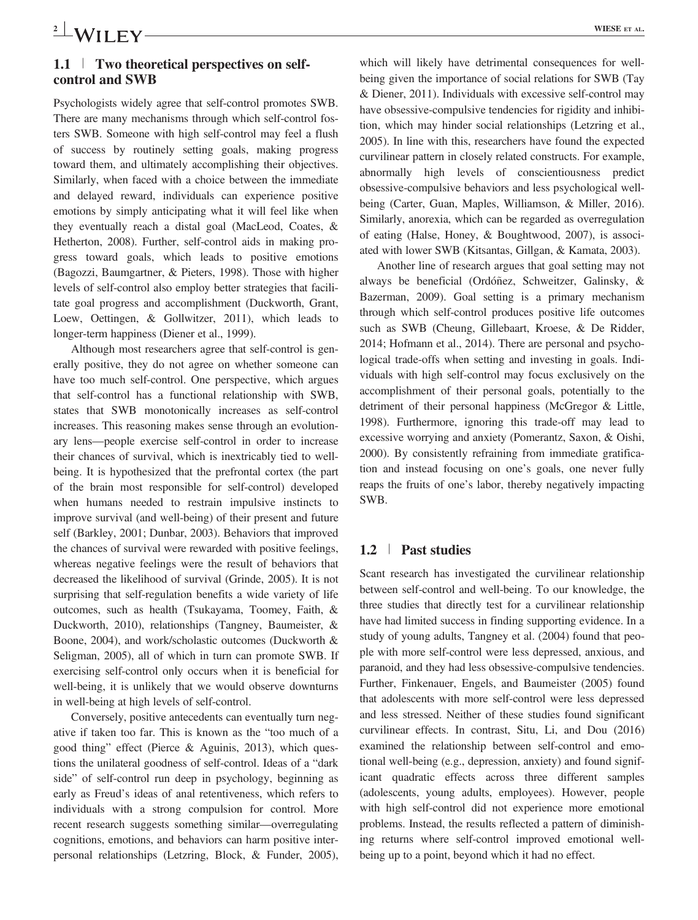# 1.1 Two theoretical perspectives on selfcontrol and SWB

Psychologists widely agree that self-control promotes SWB. There are many mechanisms through which self-control fosters SWB. Someone with high self-control may feel a flush of success by routinely setting goals, making progress toward them, and ultimately accomplishing their objectives. Similarly, when faced with a choice between the immediate and delayed reward, individuals can experience positive emotions by simply anticipating what it will feel like when they eventually reach a distal goal (MacLeod, Coates, & Hetherton, 2008). Further, self-control aids in making progress toward goals, which leads to positive emotions (Bagozzi, Baumgartner, & Pieters, 1998). Those with higher levels of self-control also employ better strategies that facilitate goal progress and accomplishment (Duckworth, Grant, Loew, Oettingen, & Gollwitzer, 2011), which leads to longer-term happiness (Diener et al., 1999).

Although most researchers agree that self-control is generally positive, they do not agree on whether someone can have too much self-control. One perspective, which argues that self-control has a functional relationship with SWB, states that SWB monotonically increases as self-control increases. This reasoning makes sense through an evolutionary lens—people exercise self-control in order to increase their chances of survival, which is inextricably tied to wellbeing. It is hypothesized that the prefrontal cortex (the part of the brain most responsible for self-control) developed when humans needed to restrain impulsive instincts to improve survival (and well-being) of their present and future self (Barkley, 2001; Dunbar, 2003). Behaviors that improved the chances of survival were rewarded with positive feelings, whereas negative feelings were the result of behaviors that decreased the likelihood of survival (Grinde, 2005). It is not surprising that self-regulation benefits a wide variety of life outcomes, such as health (Tsukayama, Toomey, Faith, & Duckworth, 2010), relationships (Tangney, Baumeister, & Boone, 2004), and work/scholastic outcomes (Duckworth & Seligman, 2005), all of which in turn can promote SWB. If exercising self-control only occurs when it is beneficial for well-being, it is unlikely that we would observe downturns in well-being at high levels of self-control.

Conversely, positive antecedents can eventually turn negative if taken too far. This is known as the "too much of a good thing" effect (Pierce & Aguinis, 2013), which questions the unilateral goodness of self-control. Ideas of a "dark side" of self-control run deep in psychology, beginning as early as Freud's ideas of anal retentiveness, which refers to individuals with a strong compulsion for control. More recent research suggests something similar—overregulating cognitions, emotions, and behaviors can harm positive interpersonal relationships (Letzring, Block, & Funder, 2005),

which will likely have detrimental consequences for wellbeing given the importance of social relations for SWB (Tay & Diener, 2011). Individuals with excessive self-control may have obsessive-compulsive tendencies for rigidity and inhibition, which may hinder social relationships (Letzring et al., 2005). In line with this, researchers have found the expected curvilinear pattern in closely related constructs. For example, abnormally high levels of conscientiousness predict obsessive-compulsive behaviors and less psychological wellbeing (Carter, Guan, Maples, Williamson, & Miller, 2016). Similarly, anorexia, which can be regarded as overregulation of eating (Halse, Honey, & Boughtwood, 2007), is associated with lower SWB (Kitsantas, Gillgan, & Kamata, 2003).

Another line of research argues that goal setting may not always be beneficial (Ordóñez, Schweitzer, Galinsky, & Bazerman, 2009). Goal setting is a primary mechanism through which self-control produces positive life outcomes such as SWB (Cheung, Gillebaart, Kroese, & De Ridder, 2014; Hofmann et al., 2014). There are personal and psychological trade-offs when setting and investing in goals. Individuals with high self-control may focus exclusively on the accomplishment of their personal goals, potentially to the detriment of their personal happiness (McGregor & Little, 1998). Furthermore, ignoring this trade-off may lead to excessive worrying and anxiety (Pomerantz, Saxon, & Oishi, 2000). By consistently refraining from immediate gratification and instead focusing on one's goals, one never fully reaps the fruits of one's labor, thereby negatively impacting SWB.

# 1.2 <sup>|</sup> Past studies

Scant research has investigated the curvilinear relationship between self-control and well-being. To our knowledge, the three studies that directly test for a curvilinear relationship have had limited success in finding supporting evidence. In a study of young adults, Tangney et al. (2004) found that people with more self-control were less depressed, anxious, and paranoid, and they had less obsessive-compulsive tendencies. Further, Finkenauer, Engels, and Baumeister (2005) found that adolescents with more self-control were less depressed and less stressed. Neither of these studies found significant curvilinear effects. In contrast, Situ, Li, and Dou (2016) examined the relationship between self-control and emotional well-being (e.g., depression, anxiety) and found significant quadratic effects across three different samples (adolescents, young adults, employees). However, people with high self-control did not experience more emotional problems. Instead, the results reflected a pattern of diminishing returns where self-control improved emotional wellbeing up to a point, beyond which it had no effect.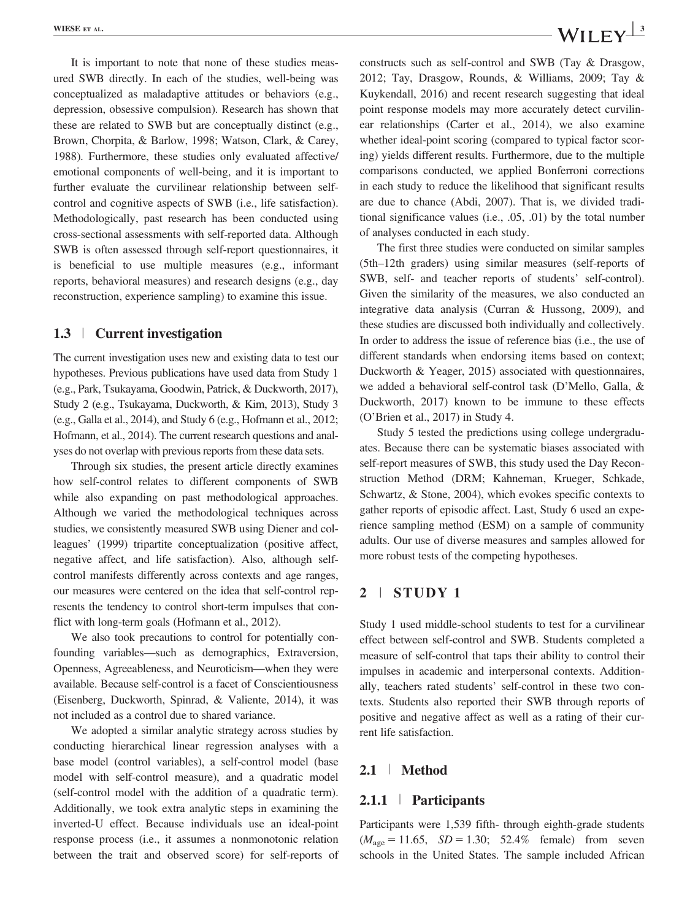It is important to note that none of these studies measured SWB directly. In each of the studies, well-being was conceptualized as maladaptive attitudes or behaviors (e.g., depression, obsessive compulsion). Research has shown that these are related to SWB but are conceptually distinct (e.g., Brown, Chorpita, & Barlow, 1998; Watson, Clark, & Carey, 1988). Furthermore, these studies only evaluated affective/ emotional components of well-being, and it is important to further evaluate the curvilinear relationship between selfcontrol and cognitive aspects of SWB (i.e., life satisfaction). Methodologically, past research has been conducted using cross-sectional assessments with self-reported data. Although SWB is often assessed through self-report questionnaires, it is beneficial to use multiple measures (e.g., informant reports, behavioral measures) and research designs (e.g., day reconstruction, experience sampling) to examine this issue.

### 1.3 <sup>|</sup> Current investigation

The current investigation uses new and existing data to test our hypotheses. Previous publications have used data from Study 1 (e.g., Park, Tsukayama, Goodwin, Patrick, & Duckworth, 2017), Study 2 (e.g., Tsukayama, Duckworth, & Kim, 2013), Study 3 (e.g., Galla et al., 2014), and Study 6 (e.g., Hofmann et al., 2012; Hofmann, et al., 2014). The current research questions and analyses do not overlap with previous reports from these data sets.

Through six studies, the present article directly examines how self-control relates to different components of SWB while also expanding on past methodological approaches. Although we varied the methodological techniques across studies, we consistently measured SWB using Diener and colleagues' (1999) tripartite conceptualization (positive affect, negative affect, and life satisfaction). Also, although selfcontrol manifests differently across contexts and age ranges, our measures were centered on the idea that self-control represents the tendency to control short-term impulses that conflict with long-term goals (Hofmann et al., 2012).

We also took precautions to control for potentially confounding variables—such as demographics, Extraversion, Openness, Agreeableness, and Neuroticism—when they were available. Because self-control is a facet of Conscientiousness (Eisenberg, Duckworth, Spinrad, & Valiente, 2014), it was not included as a control due to shared variance.

We adopted a similar analytic strategy across studies by conducting hierarchical linear regression analyses with a base model (control variables), a self-control model (base model with self-control measure), and a quadratic model (self-control model with the addition of a quadratic term). Additionally, we took extra analytic steps in examining the inverted-U effect. Because individuals use an ideal-point response process (i.e., it assumes a nonmonotonic relation between the trait and observed score) for self-reports of constructs such as self-control and SWB (Tay & Drasgow, 2012; Tay, Drasgow, Rounds, & Williams, 2009; Tay & Kuykendall, 2016) and recent research suggesting that ideal point response models may more accurately detect curvilinear relationships (Carter et al., 2014), we also examine whether ideal-point scoring (compared to typical factor scoring) yields different results. Furthermore, due to the multiple comparisons conducted, we applied Bonferroni corrections in each study to reduce the likelihood that significant results are due to chance (Abdi, 2007). That is, we divided traditional significance values (i.e., .05, .01) by the total number of analyses conducted in each study.

The first three studies were conducted on similar samples (5th–12th graders) using similar measures (self-reports of SWB, self- and teacher reports of students' self-control). Given the similarity of the measures, we also conducted an integrative data analysis (Curran & Hussong, 2009), and these studies are discussed both individually and collectively. In order to address the issue of reference bias (i.e., the use of different standards when endorsing items based on context; Duckworth & Yeager, 2015) associated with questionnaires, we added a behavioral self-control task (D'Mello, Galla, & Duckworth, 2017) known to be immune to these effects (O'Brien et al., 2017) in Study 4.

Study 5 tested the predictions using college undergraduates. Because there can be systematic biases associated with self-report measures of SWB, this study used the Day Reconstruction Method (DRM; Kahneman, Krueger, Schkade, Schwartz, & Stone, 2004), which evokes specific contexts to gather reports of episodic affect. Last, Study 6 used an experience sampling method (ESM) on a sample of community adults. Our use of diverse measures and samples allowed for more robust tests of the competing hypotheses.

## 2 <sup>|</sup> STUDY 1

Study 1 used middle-school students to test for a curvilinear effect between self-control and SWB. Students completed a measure of self-control that taps their ability to control their impulses in academic and interpersonal contexts. Additionally, teachers rated students' self-control in these two contexts. Students also reported their SWB through reports of positive and negative affect as well as a rating of their current life satisfaction.

# 2.1 <sup>|</sup> Method

## 2.1.1 <sup>|</sup> Participants

Participants were 1,539 fifth- through eighth-grade students  $(M<sub>age</sub> = 11.65, SD = 1.30; 52.4% female) from seven$ schools in the United States. The sample included African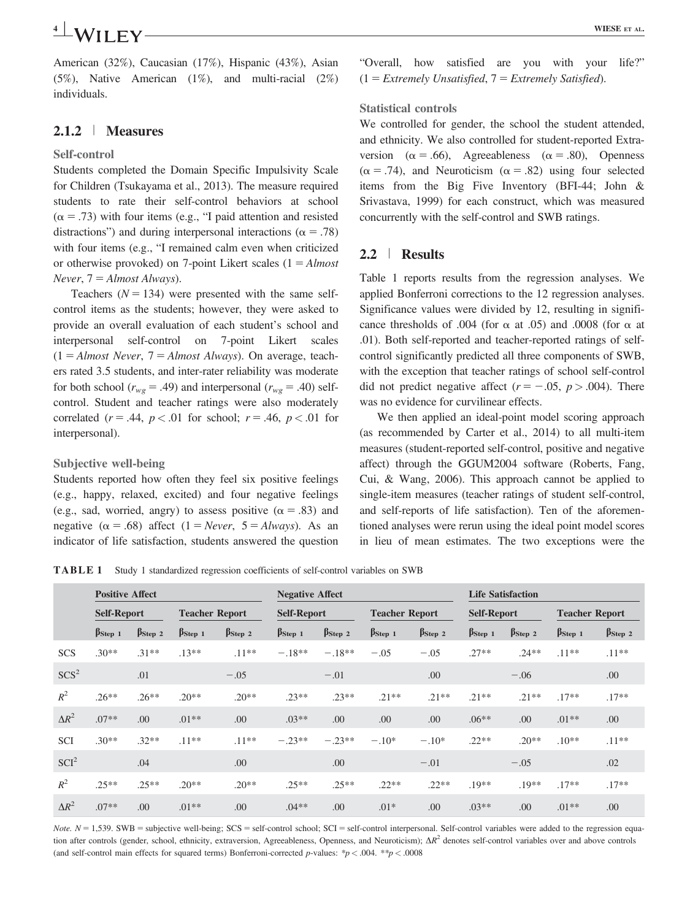# $4$   $\bigcup$  M/II  $\mathbf{F} \mathbf{V}$  – wiese et al.

American (32%), Caucasian (17%), Hispanic (43%), Asian (5%), Native American (1%), and multi-racial (2%) individuals.

# 2.1.2 <sup>|</sup> Measures

### Self-control

Students completed the Domain Specific Impulsivity Scale for Children (Tsukayama et al., 2013). The measure required students to rate their self-control behaviors at school  $(\alpha = .73)$  with four items (e.g., "I paid attention and resisted distractions") and during interpersonal interactions ( $\alpha = .78$ ) with four items (e.g., "I remained calm even when criticized or otherwise provoked) on 7-point Likert scales  $(1 = \text{Almost})$  $Never, 7 = Almost Always.$ 

Teachers ( $N = 134$ ) were presented with the same selfcontrol items as the students; however, they were asked to provide an overall evaluation of each student's school and interpersonal self-control on 7-point Likert scales  $(1 = Almost Never, 7 = Almost Always).$  On average, teachers rated 3.5 students, and inter-rater reliability was moderate for both school ( $r_{wg} = .49$ ) and interpersonal ( $r_{wg} = .40$ ) selfcontrol. Student and teacher ratings were also moderately correlated ( $r = .44$ ,  $p < .01$  for school;  $r = .46$ ,  $p < .01$  for interpersonal).

#### Subjective well-being

Students reported how often they feel six positive feelings (e.g., happy, relaxed, excited) and four negative feelings (e.g., sad, worried, angry) to assess positive ( $\alpha = .83$ ) and negative  $(\alpha = .68)$  affect  $(1 = Never, 5 = Always)$ . As an indicator of life satisfaction, students answered the question

"Overall, how satisfied are you with your life?"  $(1 = Extremelv Unsatisfied, 7 = Extremelv Satisfied).$ 

#### Statistical controls

We controlled for gender, the school the student attended, and ethnicity. We also controlled for student-reported Extraversion ( $\alpha = .66$ ), Agreeableness ( $\alpha = .80$ ), Openness  $(\alpha = .74)$ , and Neuroticism  $(\alpha = .82)$  using four selected items from the Big Five Inventory (BFI-44; John & Srivastava, 1999) for each construct, which was measured concurrently with the self-control and SWB ratings.

# 2.2 <sup>|</sup> Results

Table 1 reports results from the regression analyses. We applied Bonferroni corrections to the 12 regression analyses. Significance values were divided by 12, resulting in significance thresholds of .004 (for  $\alpha$  at .05) and .0008 (for  $\alpha$  at .01). Both self-reported and teacher-reported ratings of selfcontrol significantly predicted all three components of SWB, with the exception that teacher ratings of school self-control did not predict negative affect  $(r = -.05, p > .004)$ . There was no evidence for curvilinear effects.

We then applied an ideal-point model scoring approach (as recommended by Carter et al., 2014) to all multi-item measures (student-reported self-control, positive and negative affect) through the GGUM2004 software (Roberts, Fang, Cui, & Wang, 2006). This approach cannot be applied to single-item measures (teacher ratings of student self-control, and self-reports of life satisfaction). Ten of the aforementioned analyses were rerun using the ideal point model scores in lieu of mean estimates. The two exceptions were the

TABLE 1 Study 1 standardized regression coefficients of self-control variables on SWB

|                  | <b>Positive Affect</b> |                |                       |                | <b>Negative Affect</b> |                    |                |                       | <b>Life Satisfaction</b> |                |                       |                |
|------------------|------------------------|----------------|-----------------------|----------------|------------------------|--------------------|----------------|-----------------------|--------------------------|----------------|-----------------------|----------------|
|                  | <b>Self-Report</b>     |                | <b>Teacher Report</b> |                |                        | <b>Self-Report</b> |                | <b>Teacher Report</b> | <b>Self-Report</b>       |                | <b>Teacher Report</b> |                |
|                  | $\beta$ Step 1         | $\beta$ Step 2 | $\beta$ Step 1        | $\beta$ Step 2 | $\beta$ Step 1         | $\beta$ Step 2     | $\beta$ Step 1 | $\beta$ Step 2        | $\beta$ Step 1           | $\beta$ Step 2 | $\beta$ Step 1        | $\beta$ Step 2 |
| <b>SCS</b>       | $.30**$                | $.31**$        | $.13**$               | $.11**$        | $-.18**$               | $-.18**$           | $-.05$         | $-.05$                | $.27**$                  | $.24**$        | $.11**$               | $.11**$        |
| SCS <sup>2</sup> |                        | .01            |                       | $-.05$         |                        | $-.01$             |                | .00                   |                          | $-.06$         |                       | .00            |
| $R^2$            | $.26**$                | $.26**$        | $.20**$               | $.20**$        | $.23**$                | $.23**$            | $.21**$        | $.21**$               | $.21**$                  | $.21**$        | $.17**$               | $.17**$        |
| $\Delta R^2$     | $.07**$                | .00            | $.01**$               | .00            | $.03**$                | .00                | .00            | .00                   | $.06**$                  | .00            | $.01**$               | .00            |
| <b>SCI</b>       | $.30**$                | $.32**$        | $.11**$               | $.11**$        | $-.23**$               | $-.23**$           | $-.10*$        | $-.10*$               | $.22**$                  | $.20**$        | $.10**$               | $.11**$        |
| SCI <sup>2</sup> |                        | .04            |                       | .00            |                        | .00                |                | $-.01$                |                          | $-.05$         |                       | .02            |
| $R^2$            | $.25**$                | $.25**$        | $.20**$               | $.20**$        | $.25**$                | $.25**$            | $.22**$        | $.22**$               | $.19**$                  | $.19**$        | $.17**$               | $.17**$        |
| $\Delta R^2$     | $.07**$                | .00            | $.01**$               | .00            | $.04**$                | .00                | $.01*$         | .00                   | $.03**$                  | .00            | $.01**$               | .00            |

Note.  $N = 1,539$ . SWB = subjective well-being; SCS = self-control school; SCI = self-control interpersonal. Self-control variables were added to the regression equation after controls (gender, school, ethnicity, extraversion, Agreeableness, Openness, and Neuroticism);  $\Delta R^2$  denotes self-control variables over and above controls (and self-control main effects for squared terms) Bonferroni-corrected p-values:  $\frac{*p}{<}$  .004.  $\frac{*p}{<}$  .0008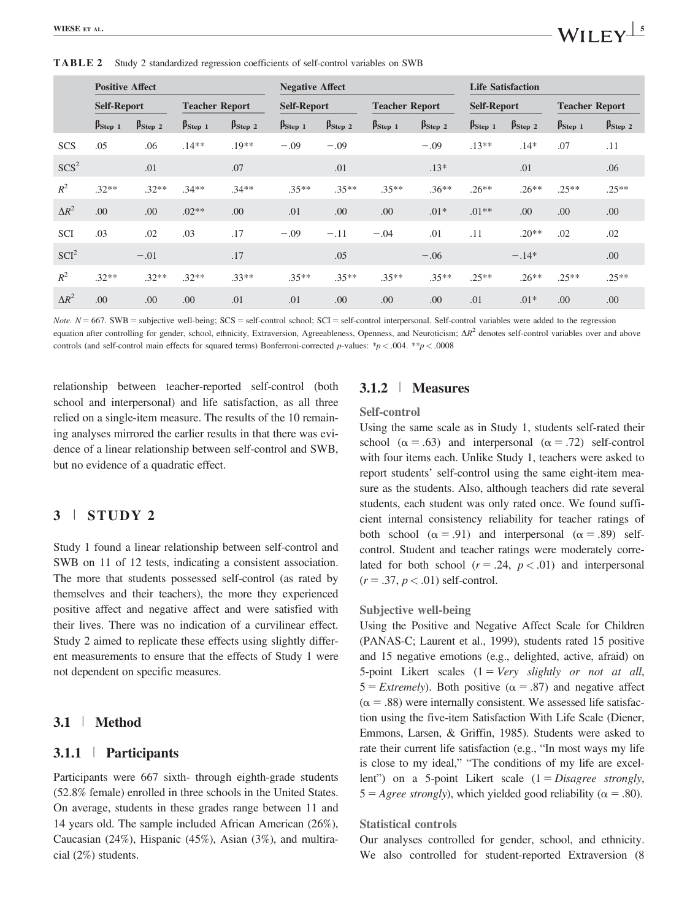TABLE 2 Study 2 standardized regression coefficients of self-control variables on SWB

|                  | <b>Positive Affect</b> |                |                       |                |                | <b>Negative Affect</b> |                |                       |                    | <b>Life Satisfaction</b> |                       |                |  |
|------------------|------------------------|----------------|-----------------------|----------------|----------------|------------------------|----------------|-----------------------|--------------------|--------------------------|-----------------------|----------------|--|
|                  | <b>Self-Report</b>     |                | <b>Teacher Report</b> |                |                | <b>Self-Report</b>     |                | <b>Teacher Report</b> | <b>Self-Report</b> |                          | <b>Teacher Report</b> |                |  |
|                  | $\beta$ Step 1         | $\beta$ Step 2 | $\beta$ Step 1        | $\beta$ Step 2 | $\beta$ Step 1 | $\beta$ Step 2         | $\beta$ Step 1 | $\beta$ Step 2        | $\beta$ Step 1     | $\beta$ Step 2           | $\beta$ Step 1        | $\beta$ Step 2 |  |
| <b>SCS</b>       | .05                    | .06            | $.14**$               | $.19**$        | $-.09$         | $-.09$                 |                | $-.09$                | $.13**$            | $.14*$                   | .07                   | .11            |  |
| SCS <sup>2</sup> |                        | .01            |                       | .07            |                | .01                    |                | $.13*$                |                    | .01                      |                       | .06            |  |
| $R^2$            | $.32**$                | $.32**$        | $.34**$               | $.34**$        | $.35**$        | $.35**$                | $.35**$        | $.36**$               | $.26**$            | $.26**$                  | $.25**$               | $.25**$        |  |
| $\Delta R^2$     | .00                    | .00            | $.02**$               | .00            | .01            | .00                    | .00            | $.01*$                | $.01**$            | .00                      | .00                   | .00            |  |
| <b>SCI</b>       | .03                    | .02            | .03                   | .17            | $-.09$         | $-.11$                 | $-.04$         | .01                   | .11                | $.20**$                  | .02                   | .02            |  |
| SCI <sup>2</sup> |                        | $-.01$         |                       | .17            |                | .05                    |                | $-.06$                |                    | $-.14*$                  |                       | .00            |  |
| $R^2$            | $.32**$                | $.32**$        | $.32**$               | $.33**$        | $.35**$        | $.35**$                | $.35**$        | $.35**$               | $.25**$            | $.26**$                  | $.25**$               | $.25**$        |  |
| $\Delta R^2$     | .00                    | .00            | .00                   | .01            | .01            | .00                    | .00            | .00                   | .01                | $.01*$                   | .00                   | .00            |  |

Note.  $N = 667$ . SWB = subjective well-being; SCS = self-control school; SCI = self-control interpersonal. Self-control variables were added to the regression equation after controlling for gender, school, ethnicity, Extraversion, Agreeableness, Openness, and Neuroticism;  $\Delta R^2$  denotes self-control variables over and above controls (and self-control main effects for squared terms) Bonferroni-corrected p-values: \*p < .004. \*\*p < .0008

relationship between teacher-reported self-control (both school and interpersonal) and life satisfaction, as all three relied on a single-item measure. The results of the 10 remaining analyses mirrored the earlier results in that there was evidence of a linear relationship between self-control and SWB, but no evidence of a quadratic effect.

# $3$  | STUDY 2

Study 1 found a linear relationship between self-control and SWB on 11 of 12 tests, indicating a consistent association. The more that students possessed self-control (as rated by themselves and their teachers), the more they experienced positive affect and negative affect and were satisfied with their lives. There was no indication of a curvilinear effect. Study 2 aimed to replicate these effects using slightly different measurements to ensure that the effects of Study 1 were not dependent on specific measures.

### 3.1 <sup>|</sup> Method

### 3.1.1 <sup>|</sup> Participants

Participants were 667 sixth- through eighth-grade students (52.8% female) enrolled in three schools in the United States. On average, students in these grades range between 11 and 14 years old. The sample included African American (26%), Caucasian (24%), Hispanic (45%), Asian (3%), and multiracial (2%) students.

# 3.1.2 <sup>|</sup> Measures

#### Self-control

Using the same scale as in Study 1, students self-rated their school ( $\alpha = .63$ ) and interpersonal ( $\alpha = .72$ ) self-control with four items each. Unlike Study 1, teachers were asked to report students' self-control using the same eight-item measure as the students. Also, although teachers did rate several students, each student was only rated once. We found sufficient internal consistency reliability for teacher ratings of both school ( $\alpha = .91$ ) and interpersonal ( $\alpha = .89$ ) selfcontrol. Student and teacher ratings were moderately correlated for both school ( $r = .24$ ,  $p < .01$ ) and interpersonal  $(r = .37, p < .01)$  self-control.

#### Subjective well-being

Using the Positive and Negative Affect Scale for Children (PANAS-C; Laurent et al., 1999), students rated 15 positive and 15 negative emotions (e.g., delighted, active, afraid) on 5-point Likert scales  $(1 = Very$  slightly or not at all,  $5 = Extremely$ ). Both positive ( $\alpha = .87$ ) and negative affect  $(\alpha = .88)$  were internally consistent. We assessed life satisfaction using the five-item Satisfaction With Life Scale (Diener, Emmons, Larsen, & Griffin, 1985). Students were asked to rate their current life satisfaction (e.g., "In most ways my life is close to my ideal," "The conditions of my life are excellent") on a 5-point Likert scale  $(1 = Disagree \ strongly)$ ,  $5 = \text{Agree strongly}$ , which yielded good reliability ( $\alpha = .80$ ).

#### Statistical controls

Our analyses controlled for gender, school, and ethnicity. We also controlled for student-reported Extraversion (8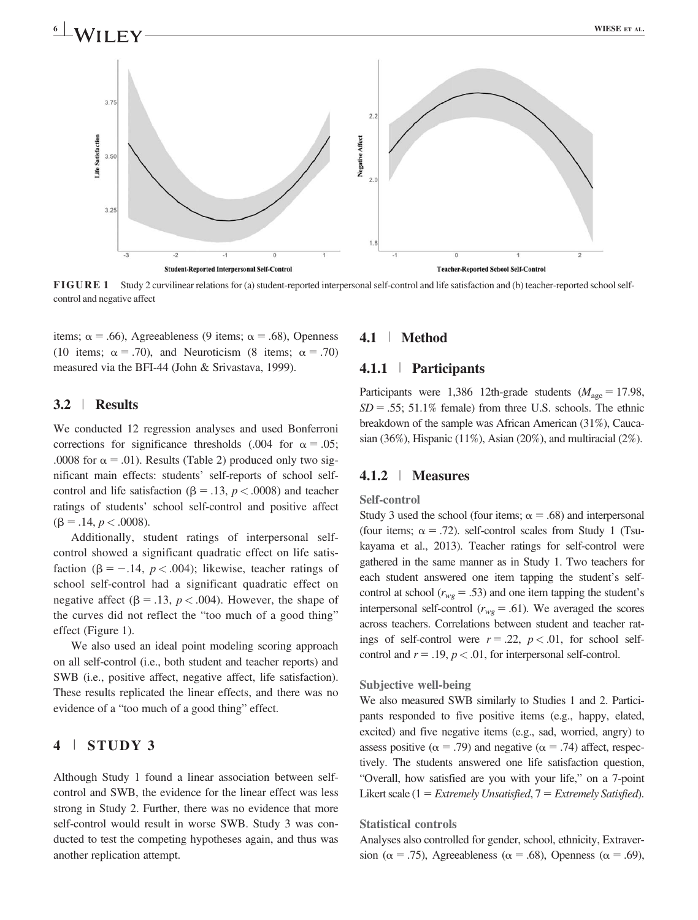$\frac{6}{100}$  M/II FV  $\frac{1}{200}$  WIESE ET AL.



FIGURE 1 Study 2 curvilinear relations for (a) student-reported interpersonal self-control and life satisfaction and (b) teacher-reported school selfcontrol and negative affect

items;  $\alpha = .66$ ), Agreeableness (9 items;  $\alpha = .68$ ), Openness (10 items;  $\alpha = .70$ ), and Neuroticism (8 items;  $\alpha = .70$ ) measured via the BFI-44 (John & Srivastava, 1999).

#### 3.2 <sup>|</sup> Results

We conducted 12 regression analyses and used Bonferroni corrections for significance thresholds (.004 for  $\alpha = .05$ ; .0008 for  $\alpha = .01$ ). Results (Table 2) produced only two significant main effects: students' self-reports of school selfcontrol and life satisfaction ( $\beta = .13$ ,  $p < .0008$ ) and teacher ratings of students' school self-control and positive affect  $(\beta = .14, p < .0008).$ 

Additionally, student ratings of interpersonal selfcontrol showed a significant quadratic effect on life satisfaction ( $\beta = -0.14$ ,  $p < 0.004$ ); likewise, teacher ratings of school self-control had a significant quadratic effect on negative affect ( $\beta = .13$ ,  $p < .004$ ). However, the shape of the curves did not reflect the "too much of a good thing" effect (Figure 1).

We also used an ideal point modeling scoring approach on all self-control (i.e., both student and teacher reports) and SWB (i.e., positive affect, negative affect, life satisfaction). These results replicated the linear effects, and there was no evidence of a "too much of a good thing" effect.

# 4 <sup>|</sup> STUDY 3

Although Study 1 found a linear association between selfcontrol and SWB, the evidence for the linear effect was less strong in Study 2. Further, there was no evidence that more self-control would result in worse SWB. Study 3 was conducted to test the competing hypotheses again, and thus was another replication attempt.

# 4.1 <sup>|</sup> Method

#### 4.1.1 <sup>|</sup> Participants

Participants were 1,386 12th-grade students ( $M_{\text{age}} = 17.98$ ,  $SD = .55$ ; 51.1% female) from three U.S. schools. The ethnic breakdown of the sample was African American (31%), Caucasian (36%), Hispanic (11%), Asian (20%), and multiracial (2%).

# 4.1.2 <sup>|</sup> Measures

#### Self-control

Study 3 used the school (four items;  $\alpha = .68$ ) and interpersonal (four items;  $\alpha = .72$ ). self-control scales from Study 1 (Tsukayama et al., 2013). Teacher ratings for self-control were gathered in the same manner as in Study 1. Two teachers for each student answered one item tapping the student's selfcontrol at school ( $r_{wg} = .53$ ) and one item tapping the student's interpersonal self-control ( $r_{wg} = .61$ ). We averaged the scores across teachers. Correlations between student and teacher ratings of self-control were  $r = .22$ ,  $p < .01$ , for school selfcontrol and  $r = .19$ ,  $p < .01$ , for interpersonal self-control.

#### Subjective well-being

We also measured SWB similarly to Studies 1 and 2. Participants responded to five positive items (e.g., happy, elated, excited) and five negative items (e.g., sad, worried, angry) to assess positive ( $\alpha = .79$ ) and negative ( $\alpha = .74$ ) affect, respectively. The students answered one life satisfaction question, "Overall, how satisfied are you with your life," on a 7-point Likert scale ( $1 =$  Extremely Unsatisfied,  $7 =$  Extremely Satisfied).

#### Statistical controls

Analyses also controlled for gender, school, ethnicity, Extraversion ( $\alpha$  = .75), Agreeableness ( $\alpha$  = .68), Openness ( $\alpha$  = .69),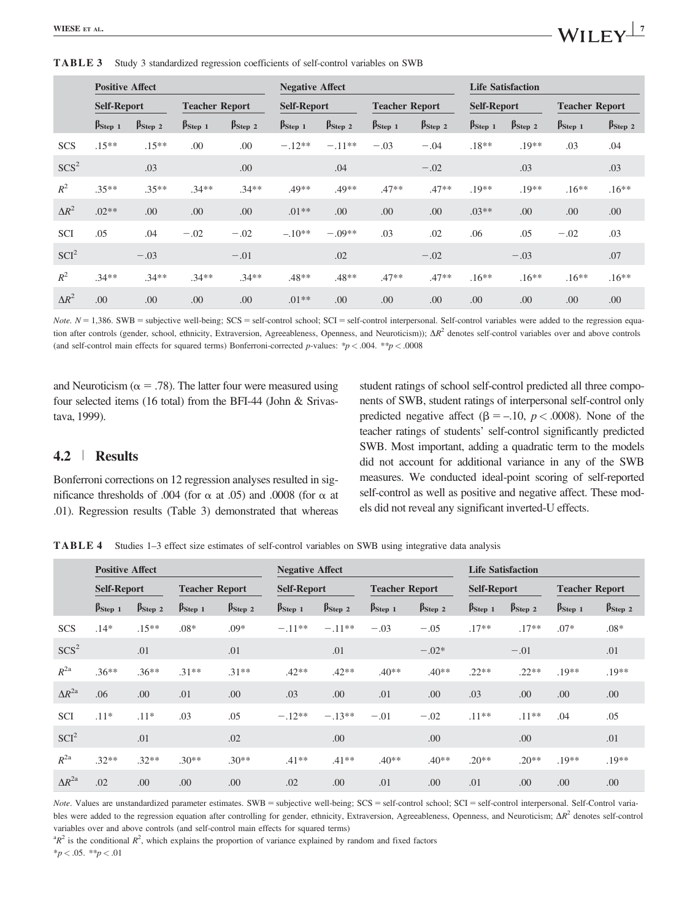TABLE 3 Study 3 standardized regression coefficients of self-control variables on SWB

|                  | <b>Positive Affect</b> |                |                       |                | <b>Negative Affect</b> |                |                |                       | <b>Life Satisfaction</b> |                    |                       |                |
|------------------|------------------------|----------------|-----------------------|----------------|------------------------|----------------|----------------|-----------------------|--------------------------|--------------------|-----------------------|----------------|
|                  | <b>Self-Report</b>     |                | <b>Teacher Report</b> |                |                        | Self-Report    |                | <b>Teacher Report</b> |                          | <b>Self-Report</b> | <b>Teacher Report</b> |                |
|                  | $\beta$ Step 1         | $\beta$ Step 2 | $\beta$ Step 1        | $\beta$ Step 2 | $\beta$ Step 1         | $\beta$ Step 2 | $\beta$ Step 1 | $\beta$ Step 2        | $\beta$ Step 1           | $\beta$ Step 2     | $\beta$ Step 1        | $\beta$ Step 2 |
| <b>SCS</b>       | $.15**$                | $.15**$        | .00                   | .00            | $-.12**$               | $-.11**$       | $-.03$         | $-.04$                | $.18**$                  | $.19**$            | .03                   | .04            |
| SCS <sup>2</sup> |                        | .03            |                       | .00            |                        | .04            |                | $-.02$                |                          | .03                |                       | .03            |
| $R^2$            | $.35**$                | $.35**$        | $.34**$               | $.34**$        | .49**                  | $.49**$        | $.47**$        | $.47**$               | $.19**$                  | $.19**$            | $.16**$               | $.16**$        |
| $\Delta R^2$     | $.02**$                | .00            | .00                   | .00            | $.01**$                | .00            | .00            | .00                   | $.03**$                  | .00                | .00                   | .00            |
| SCI              | .05                    | .04            | $-.02$                | $-.02$         | $-.10**$               | $-.09**$       | .03            | .02                   | .06                      | .05                | $-.02$                | .03            |
| SCI <sup>2</sup> |                        | $-.03$         |                       | $-.01$         |                        | .02            |                | $-.02$                |                          | $-.03$             |                       | .07            |
| $R^2$            | $.34**$                | $.34**$        | $.34**$               | $.34**$        | .48**                  | $.48**$        | $.47**$        | $.47**$               | $.16**$                  | $.16***$           | $.16**$               | $.16**$        |
| $\Delta R^2$     | .00                    | .00            | .00                   | .00            | $.01**$                | .00            | .00            | .00                   | .00                      | .00                | .00                   | .00            |

Note.  $N = 1,386$ . SWB = subjective well-being; SCS = self-control school; SCI = self-control interpersonal. Self-control variables were added to the regression equation after controls (gender, school, ethnicity, Extraversion, Agreeableness, Openness, and Neuroticism));  $\Delta R^2$  denotes self-control variables over and above controls (and self-control main effects for squared terms) Bonferroni-corrected p-values:  $*p < .004$ .  $*p < .0008$ 

and Neuroticism ( $\alpha = .78$ ). The latter four were measured using four selected items (16 total) from the BFI-44 (John & Srivastava, 1999).

# 4.2 <sup>|</sup> Results

Bonferroni corrections on 12 regression analyses resulted in significance thresholds of .004 (for  $\alpha$  at .05) and .0008 (for  $\alpha$  at .01). Regression results (Table 3) demonstrated that whereas student ratings of school self-control predicted all three components of SWB, student ratings of interpersonal self-control only predicted negative affect ( $\beta = -10$ ,  $p < .0008$ ). None of the teacher ratings of students' self-control significantly predicted SWB. Most important, adding a quadratic term to the models did not account for additional variance in any of the SWB measures. We conducted ideal-point scoring of self-reported self-control as well as positive and negative affect. These models did not reveal any significant inverted-U effects.

TABLE 4 Studies 1–3 effect size estimates of self-control variables on SWB using integrative data analysis

|                        | <b>Positive Affect</b> |                |                       |                | <b>Negative Affect</b> |                    |                |                       | <b>Life Satisfaction</b> |                |                       |                |
|------------------------|------------------------|----------------|-----------------------|----------------|------------------------|--------------------|----------------|-----------------------|--------------------------|----------------|-----------------------|----------------|
|                        | <b>Self-Report</b>     |                | <b>Teacher Report</b> |                |                        | <b>Self-Report</b> |                | <b>Teacher Report</b> | <b>Self-Report</b>       |                | <b>Teacher Report</b> |                |
|                        | $\beta$ Step 1         | $\beta$ Step 2 | $\beta$ Step 1        | $\beta$ Step 2 | $\beta$ Step 1         | $\beta$ Step 2     | $\beta$ Step 1 | $\beta$ Step 2        | $\beta$ Step 1           | $\beta$ Step 2 | $\beta$ Step 1        | $\beta$ Step 2 |
| <b>SCS</b>             | $.14*$                 | $.15**$        | $.08*$                | $.09*$         | $-.11**$               | $-.11**$           | $-.03$         | $-.05$                | $.17**$                  | $.17**$        | $.07*$                | $.08*$         |
| SCS <sup>2</sup>       |                        | .01            |                       | .01            |                        | .01                |                | $-.02*$               |                          | $-.01$         |                       | .01            |
| $R^{2a}$               | $.36**$                | $.36**$        | $.31**$               | $.31**$        | $.42**$                | $.42**$            | $.40**$        | $.40**$               | $.22**$                  | $.22**$        | $.19**$               | $.19**$        |
| $\Delta R^{\text{2a}}$ | .06                    | .00            | .01                   | .00            | .03                    | .00                | .01            | .00                   | .03                      | .00            | .00                   | .00            |
| <b>SCI</b>             | $.11*$                 | $.11*$         | .03                   | .05            | $-.12**$               | $-.13**$           | $-.01$         | $-.02$                | $.11**$                  | $.11**$        | .04                   | .05            |
| $SCI^2$                |                        | .01            |                       | .02            |                        | .00                |                | .00                   |                          | .00            |                       | .01            |
| $R^{2a}$               | $.32**$                | $.32**$        | $.30**$               | $.30**$        | $.41**$                | $.41**$            | $.40**$        | $.40**$               | $.20**$                  | $.20**$        | $.19**$               | $.19**$        |
| $\Delta R^{\text{2a}}$ | .02                    | .00            | .00                   | .00            | .02                    | .00                | .01            | .00                   | .01                      | .00            | .00                   | .00            |

Note. Values are unstandardized parameter estimates. SWB = subjective well-being; SCS = self-control school; SCI = self-control interpersonal. Self-Control variables were added to the regression equation after controlling for gender, ethnicity, Extraversion, Agreeableness, Openness, and Neuroticism;  $\Delta R^2$  denotes self-control variables over and above controls (and self-control main effects for squared terms)

 ${}^{a}R^{2}$  is the conditional  $R^{2}$ , which explains the proportion of variance explained by random and fixed factors

 $*_{p}$  < .05.  $*_{p}$  < .01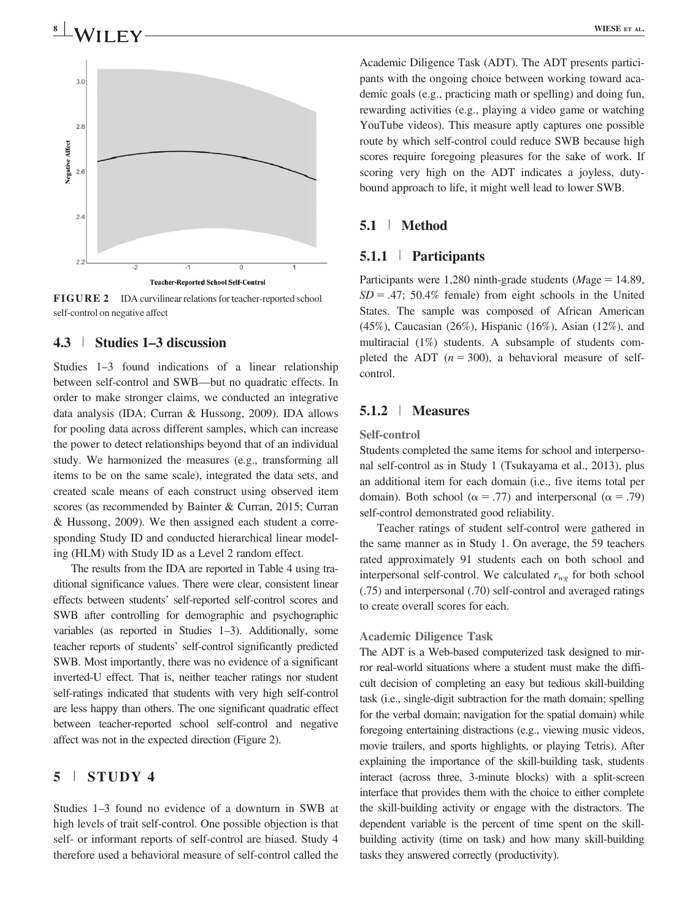

FIGURE 2 IDA curvilinear relations for teacher-reported school self-control on negative affect

# 4.3 <sup>|</sup> Studies 1–3 discussion

Studies 1–3 found indications of a linear relationship between self-control and SWB—but no quadratic effects. In order to make stronger claims, we conducted an integrative data analysis (IDA; Curran & Hussong, 2009). IDA allows for pooling data across different samples, which can increase the power to detect relationships beyond that of an individual study. We harmonized the measures (e.g., transforming all items to be on the same scale), integrated the data sets, and created scale means of each construct using observed item scores (as recommended by Bainter & Curran, 2015; Curran & Hussong, 2009). We then assigned each student a corresponding Study ID and conducted hierarchical linear modeling (HLM) with Study ID as a Level 2 random effect.

The results from the IDA are reported in Table 4 using traditional significance values. There were clear, consistent linear effects between students' self-reported self-control scores and SWB after controlling for demographic and psychographic variables (as reported in Studies 1–3). Additionally, some teacher reports of students' self-control significantly predicted SWB. Most importantly, there was no evidence of a significant inverted-U effect. That is, neither teacher ratings nor student self-ratings indicated that students with very high self-control are less happy than others. The one significant quadratic effect between teacher-reported school self-control and negative affect was not in the expected direction (Figure 2).

# 5 <sup>|</sup> STUDY 4

Studies 1–3 found no evidence of a downturn in SWB at high levels of trait self-control. One possible objection is that self- or informant reports of self-control are biased. Study 4 therefore used a behavioral measure of self-control called the

Academic Diligence Task (ADT). The ADT presents participants with the ongoing choice between working toward academic goals (e.g., practicing math or spelling) and doing fun, rewarding activities (e.g., playing a video game or watching YouTube videos). This measure aptly captures one possible route by which self-control could reduce SWB because high scores require foregoing pleasures for the sake of work. If scoring very high on the ADT indicates a joyless, dutybound approach to life, it might well lead to lower SWB.

# 5.1 <sup>|</sup> Method

# 5.1.1 <sup>|</sup> Participants

Participants were 1,280 ninth-grade students ( $Mage = 14.89$ ,  $SD = .47$ ; 50.4% female) from eight schools in the United States. The sample was composed of African American (45%), Caucasian (26%), Hispanic (16%), Asian (12%), and multiracial (1%) students. A subsample of students completed the ADT ( $n = 300$ ), a behavioral measure of selfcontrol.

### 5.1.2 <sup>|</sup> Measures

#### Self-control

Students completed the same items for school and interpersonal self-control as in Study 1 (Tsukayama et al., 2013), plus an additional item for each domain (i.e., five items total per domain). Both school ( $\alpha = .77$ ) and interpersonal ( $\alpha = .79$ ) self-control demonstrated good reliability.

Teacher ratings of student self-control were gathered in the same manner as in Study 1. On average, the 59 teachers rated approximately 91 students each on both school and interpersonal self-control. We calculated  $r_{wg}$  for both school (.75) and interpersonal (.70) self-control and averaged ratings to create overall scores for each.

### Academic Diligence Task

The ADT is a Web-based computerized task designed to mirror real-world situations where a student must make the difficult decision of completing an easy but tedious skill-building task (i.e., single-digit subtraction for the math domain; spelling for the verbal domain; navigation for the spatial domain) while foregoing entertaining distractions (e.g., viewing music videos, movie trailers, and sports highlights, or playing Tetris). After explaining the importance of the skill-building task, students interact (across three, 3-minute blocks) with a split-screen interface that provides them with the choice to either complete the skill-building activity or engage with the distractors. The dependent variable is the percent of time spent on the skillbuilding activity (time on task) and how many skill-building tasks they answered correctly (productivity).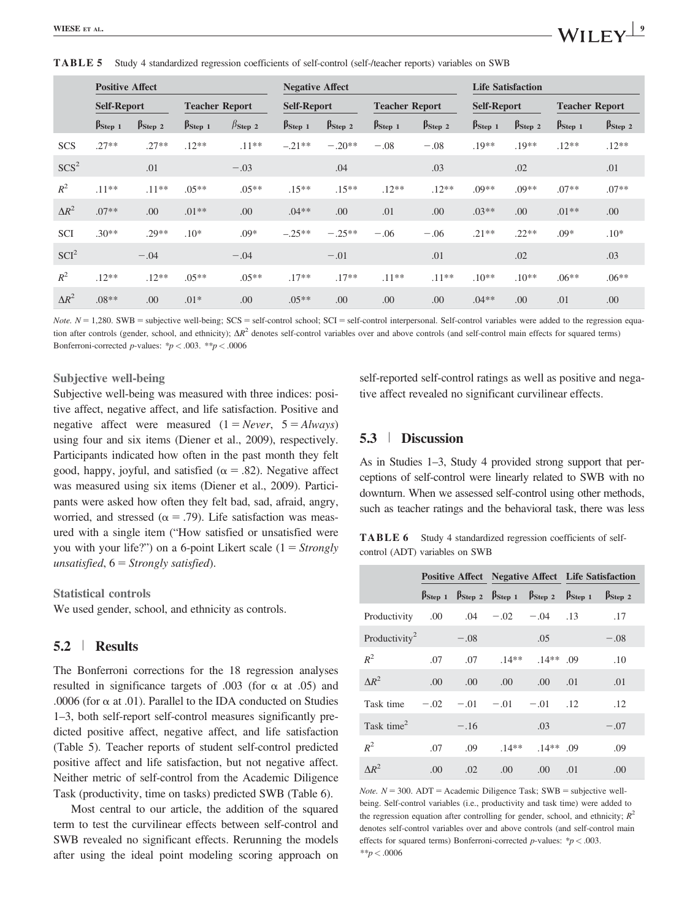TABLE 5 Study 4 standardized regression coefficients of self-control (self-/teacher reports) variables on SWB

|                  | <b>Positive Affect</b> |                |                       |                | <b>Negative Affect</b> |                    |                |                       | <b>Life Satisfaction</b> |                |                       |                |
|------------------|------------------------|----------------|-----------------------|----------------|------------------------|--------------------|----------------|-----------------------|--------------------------|----------------|-----------------------|----------------|
|                  | <b>Self-Report</b>     |                | <b>Teacher Report</b> |                |                        | <b>Self-Report</b> |                | <b>Teacher Report</b> | <b>Self-Report</b>       |                | <b>Teacher Report</b> |                |
|                  | $\beta$ Step 1         | $\beta$ Step 2 | $\beta$ Step 1        | $\beta$ Step 2 | $\beta$ Step 1         | $\beta$ Step 2     | $\beta$ Step 1 | $\beta$ Step 2        | $\beta$ Step 1           | $\beta$ Step 2 | $\beta$ Step 1        | $\beta$ Step 2 |
| <b>SCS</b>       | $.27**$                | $.27**$        | $.12**$               | $.11**$        | $-.21**$               | $-.20**$           | $-.08$         | $-.08$                | $.19**$                  | $.19**$        | $.12**$               | $.12**$        |
| SCS <sup>2</sup> |                        | .01            |                       | $-.03$         |                        | .04                |                | .03                   |                          | .02            |                       | .01            |
| $R^2$            | $.11**$                | $.11**$        | $.05**$               | $.05**$        | $.15**$                | $.15**$            | $.12**$        | $.12**$               | $.09**$                  | $.09**$        | $.07**$               | $.07**$        |
| $\Delta R^2$     | $.07**$                | .00            | $.01**$               | .00            | $.04**$                | .00                | .01            | .00                   | $.03**$                  | .00            | $.01**$               | .00            |
| <b>SCI</b>       | $.30**$                | $.29**$        | $.10*$                | $.09*$         | $-.25**$               | $-.25**$           | $-.06$         | $-.06$                | $.21**$                  | $.22**$        | $.09*$                | $.10*$         |
| SCI <sup>2</sup> |                        | $-.04$         |                       | $-.04$         |                        | $-.01$             |                | .01                   |                          | .02            |                       | .03            |
| $R^2$            | $.12**$                | $.12**$        | $.05**$               | $.05**$        | $.17**$                | $.17**$            | $.11**$        | $.11**$               | $.10**$                  | $.10**$        | $.06**$               | $.06***$       |
| $\Delta R^2$     | $.08**$                | .00            | $.01*$                | .00            | $.05**$                | .00                | .00            | .00                   | $.04**$                  | .00            | .01                   | .00            |

 $Note. N = 1.280. SWB = subjective well-being; SCS = self-control school; SCI = self-control interpolation. Self-control variables were added to the regression equa$ tion after controls (gender, school, and ethnicity);  $\Delta R^2$  denotes self-control variables over and above controls (and self-control main effects for squared terms) Bonferroni-corrected *p*-values:  $p < .003$ .  $\frac{p}{p} < .0006$ 

#### Subjective well-being

Subjective well-being was measured with three indices: positive affect, negative affect, and life satisfaction. Positive and negative affect were measured  $(1 = Never, 5 = Always)$ using four and six items (Diener et al., 2009), respectively. Participants indicated how often in the past month they felt good, happy, joyful, and satisfied ( $\alpha = .82$ ). Negative affect was measured using six items (Diener et al., 2009). Participants were asked how often they felt bad, sad, afraid, angry, worried, and stressed ( $\alpha = .79$ ). Life satisfaction was measured with a single item ("How satisfied or unsatisfied were you with your life?") on a 6-point Likert scale  $(1 = \frac{Strongly}{})$ unsatisfied,  $6 =$  Strongly satisfied).

#### Statistical controls

We used gender, school, and ethnicity as controls.

# 5.2 <sup>|</sup> Results

The Bonferroni corrections for the 18 regression analyses resulted in significance targets of .003 (for  $\alpha$  at .05) and .0006 (for  $\alpha$  at .01). Parallel to the IDA conducted on Studies 1–3, both self-report self-control measures significantly predicted positive affect, negative affect, and life satisfaction (Table 5). Teacher reports of student self-control predicted positive affect and life satisfaction, but not negative affect. Neither metric of self-control from the Academic Diligence Task (productivity, time on tasks) predicted SWB (Table 6).

Most central to our article, the addition of the squared term to test the curvilinear effects between self-control and SWB revealed no significant effects. Rerunning the models after using the ideal point modeling scoring approach on self-reported self-control ratings as well as positive and negative affect revealed no significant curvilinear effects.

# 5.3 <sup>|</sup> Discussion

As in Studies 1–3, Study 4 provided strong support that perceptions of self-control were linearly related to SWB with no downturn. When we assessed self-control using other methods, such as teacher ratings and the behavioral task, there was less

TABLE 6 Study 4 standardized regression coefficients of selfcontrol (ADT) variables on SWB

|                           |        |        |                                                                                           |             | <b>Positive Affect</b> Negative Affect Life Satisfaction |        |  |
|---------------------------|--------|--------|-------------------------------------------------------------------------------------------|-------------|----------------------------------------------------------|--------|--|
|                           |        |        | $\beta$ Step 1 $\beta$ Step 2 $\beta$ Step 1 $\beta$ Step 2 $\beta$ Step 1 $\beta$ Step 2 |             |                                                          |        |  |
| Productivity              | .00.   | .04    | $-.02$                                                                                    | $-.04$ .13  |                                                          | .17    |  |
| Productivity <sup>2</sup> |        | $-.08$ |                                                                                           | .05         |                                                          | $-.08$ |  |
| $R^2$                     | .07    | .07    | $.14***$ $.14***$ .09                                                                     |             |                                                          | .10    |  |
| $\Lambda R^2$             | .00    | .00    | .00                                                                                       | .00         | .01                                                      | .01    |  |
| Task time                 | $-.02$ | $-.01$ | $-.01$                                                                                    | $-.01$      | .12                                                      | .12    |  |
| Task time $^{2}$          |        | $-.16$ |                                                                                           | .03         |                                                          | $-.07$ |  |
| $R^2$                     | .07    | .09    | $.14**$                                                                                   | $.14**$ .09 |                                                          | .09    |  |
| $\Lambda R^2$             | .00.   | .02    | .00                                                                                       | .00.        | .01                                                      | .00    |  |

*Note.*  $N = 300$ . ADT = Academic Diligence Task; SWB = subjective wellbeing. Self-control variables (i.e., productivity and task time) were added to the regression equation after controlling for gender, school, and ethnicity;  $R^2$ denotes self-control variables over and above controls (and self-control main effects for squared terms) Bonferroni-corrected *p*-values:  $p < .003$ .  $**p < .0006$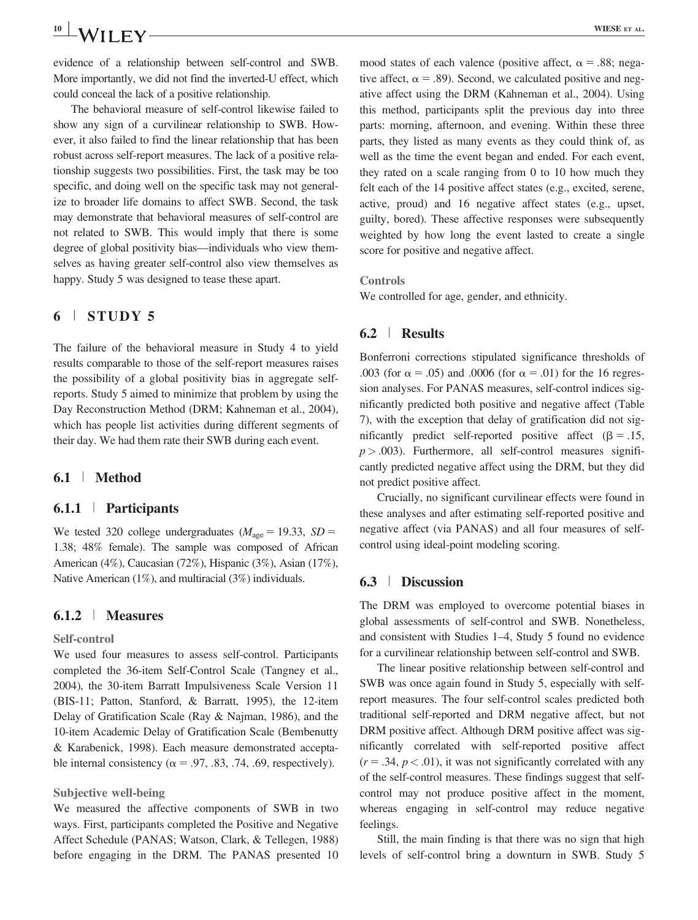# $\frac{10}{\text{WIESE} \text{ F}}$  WIESE ET AL.

evidence of a relationship between self-control and SWB. More importantly, we did not find the inverted-U effect, which could conceal the lack of a positive relationship.

The behavioral measure of self-control likewise failed to show any sign of a curvilinear relationship to SWB. However, it also failed to find the linear relationship that has been robust across self-report measures. The lack of a positive relationship suggests two possibilities. First, the task may be too specific, and doing well on the specific task may not generalize to broader life domains to affect SWB. Second, the task may demonstrate that behavioral measures of self-control are not related to SWB. This would imply that there is some degree of global positivity bias—individuals who view themselves as having greater self-control also view themselves as happy. Study 5 was designed to tease these apart.

# $6$  | STUDY 5

The failure of the behavioral measure in Study 4 to yield results comparable to those of the self-report measures raises the possibility of a global positivity bias in aggregate selfreports. Study 5 aimed to minimize that problem by using the Day Reconstruction Method (DRM; Kahneman et al., 2004), which has people list activities during different segments of their day. We had them rate their SWB during each event.

### 6.1 <sup>|</sup> Method

#### 6.1.1 <sup>|</sup> Participants

We tested 320 college undergraduates ( $M_{\text{age}} = 19.33$ , SD = 1.38; 48% female). The sample was composed of African American (4%), Caucasian (72%), Hispanic (3%), Asian (17%), Native American (1%), and multiracial (3%) individuals.

# 6.1.2 <sup>|</sup> Measures

#### Self-control

We used four measures to assess self-control. Participants completed the 36-item Self-Control Scale (Tangney et al., 2004), the 30-item Barratt Impulsiveness Scale Version 11 (BIS-11; Patton, Stanford, & Barratt, 1995), the 12-item Delay of Gratification Scale (Ray & Najman, 1986), and the 10-item Academic Delay of Gratification Scale (Bembenutty & Karabenick, 1998). Each measure demonstrated acceptable internal consistency ( $\alpha$  = .97, .83, .74, .69, respectively).

#### Subjective well-being

We measured the affective components of SWB in two ways. First, participants completed the Positive and Negative Affect Schedule (PANAS; Watson, Clark, & Tellegen, 1988) before engaging in the DRM. The PANAS presented 10

mood states of each valence (positive affect,  $\alpha = .88$ ; negative affect,  $\alpha = .89$ ). Second, we calculated positive and negative affect using the DRM (Kahneman et al., 2004). Using this method, participants split the previous day into three parts: morning, afternoon, and evening. Within these three parts, they listed as many events as they could think of, as well as the time the event began and ended. For each event, they rated on a scale ranging from 0 to 10 how much they felt each of the 14 positive affect states (e.g., excited, serene, active, proud) and 16 negative affect states (e.g., upset, guilty, bored). These affective responses were subsequently weighted by how long the event lasted to create a single score for positive and negative affect.

Controls

We controlled for age, gender, and ethnicity.

#### 6.2 <sup>|</sup> Results

Bonferroni corrections stipulated significance thresholds of .003 (for  $\alpha = .05$ ) and .0006 (for  $\alpha = .01$ ) for the 16 regression analyses. For PANAS measures, self-control indices significantly predicted both positive and negative affect (Table 7), with the exception that delay of gratification did not significantly predict self-reported positive affect ( $\beta = .15$ ,  $p > .003$ ). Furthermore, all self-control measures significantly predicted negative affect using the DRM, but they did not predict positive affect.

Crucially, no significant curvilinear effects were found in these analyses and after estimating self-reported positive and negative affect (via PANAS) and all four measures of selfcontrol using ideal-point modeling scoring.

#### 6.3 <sup>|</sup> Discussion

The DRM was employed to overcome potential biases in global assessments of self-control and SWB. Nonetheless, and consistent with Studies 1–4, Study 5 found no evidence for a curvilinear relationship between self-control and SWB.

The linear positive relationship between self-control and SWB was once again found in Study 5, especially with selfreport measures. The four self-control scales predicted both traditional self-reported and DRM negative affect, but not DRM positive affect. Although DRM positive affect was significantly correlated with self-reported positive affect  $(r = .34, p < .01)$ , it was not significantly correlated with any of the self-control measures. These findings suggest that selfcontrol may not produce positive affect in the moment, whereas engaging in self-control may reduce negative feelings.

Still, the main finding is that there was no sign that high levels of self-control bring a downturn in SWB. Study 5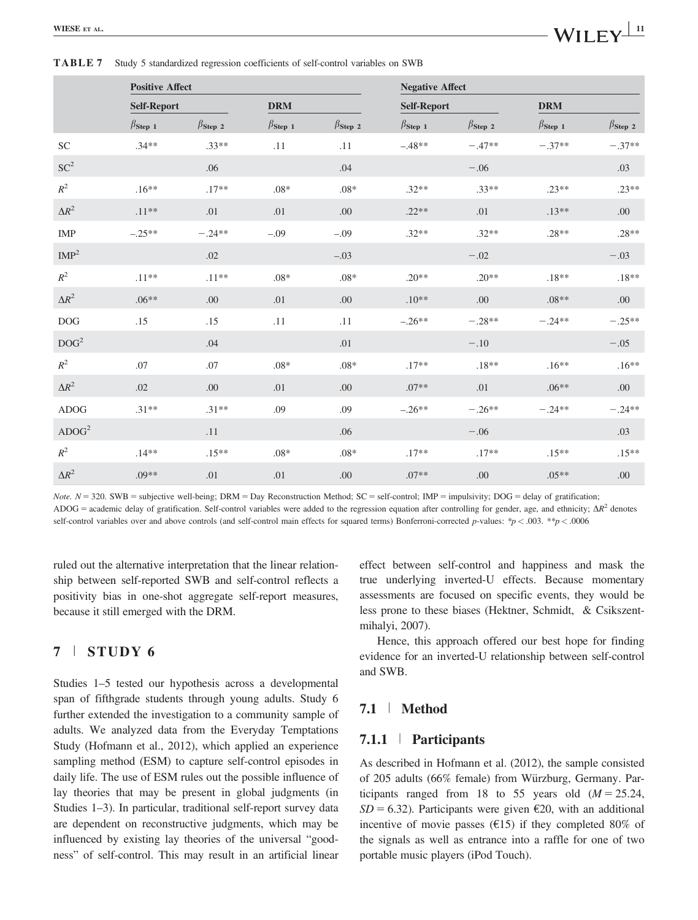TABLE 7 Study 5 standardized regression coefficients of self-control variables on SWB

|                   | <b>Positive Affect</b> |                |                |                | <b>Negative Affect</b> |                |                |                |  |  |
|-------------------|------------------------|----------------|----------------|----------------|------------------------|----------------|----------------|----------------|--|--|
|                   | <b>Self-Report</b>     |                | <b>DRM</b>     |                | <b>Self-Report</b>     |                | <b>DRM</b>     |                |  |  |
|                   | $\beta$ Step 1         | $\beta$ Step 2 | $\beta$ Step 1 | $\beta$ Step 2 | $\beta$ Step 1         | $\beta$ Step 2 | $\beta$ Step 1 | $\beta$ Step 2 |  |  |
| SC                | $.34**$                | $.33**$        | .11            | .11            | $-.48**$               | $-.47**$       | $-.37**$       | $-.37**$       |  |  |
| $\mbox{SC}^2$     |                        | .06            |                | .04            |                        | $-.06$         |                | .03            |  |  |
| $\mathbb{R}^2$    | $.16***$               | $.17**$        | $.08*$         | $.08*$         | $.32**$                | $.33**$        | $.23**$        | $.23**$        |  |  |
| $\Delta R^2$      | $.11**$                | .01            | .01            | .00            | $.22**$                | .01            | $.13**$        | .00            |  |  |
| <b>IMP</b>        | $-.25**$               | $-.24**$       | $-.09$         | $-.09$         | $.32**$                | $.32**$        | $.28**$        | $.28**$        |  |  |
| IMP <sup>2</sup>  |                        | .02            |                | $-.03$         |                        | $-.02$         |                | $-.03$         |  |  |
| $R^2$             | $.11**$                | $.11**$        | $.08*$         | $.08*$         | $.20**$                | $.20**$        | $.18**$        | $.18**$        |  |  |
| $\Delta R^2$      | $.06***$               | .00            | .01            | .00            | $.10**$                | .00            | $.08**$        | .00            |  |  |
| $DOG$             | .15                    | .15            | .11            | .11            | $-.26**$               | $-.28**$       | $-.24**$       | $-.25**$       |  |  |
| DOG <sup>2</sup>  |                        | .04            |                | .01            |                        | $-.10$         |                | $-.05$         |  |  |
| $R^2$             | .07                    | .07            | $.08*$         | $.08*$         | $.17**$                | $.18**$        | $.16***$       | $.16**$        |  |  |
| $\Delta R^2$      | .02                    | .00            | .01            | .00            | $.07**$                | .01            | $.06**$        | .00            |  |  |
| <b>ADOG</b>       | $.31**$                | $.31**$        | .09            | .09            | $-.26**$               | $-.26**$       | $-.24**$       | $-.24**$       |  |  |
| ADOG <sup>2</sup> |                        | .11            |                | .06            |                        | $-.06$         |                | .03            |  |  |
| $\mathbb{R}^2$    | $.14**$                | $.15***$       | $.08*$         | $.08*$         | $.17**$                | $.17**$        | $.15**$        | $.15***$       |  |  |
| $\Delta R^2$      | $.09**$                | .01            | .01            | .00            | $.07**$                | .00            | $.05**$        | .00            |  |  |

*Note.*  $N = 320$ . SWB = subjective well-being; DRM = Day Reconstruction Method; SC = self-control; IMP = impulsivity; DOG = delay of gratification; ADOG = academic delay of gratification. Self-control variables were added to the regression equation after controlling for gender, age, and ethnicity;  $\Delta R^2$  denotes self-control variables over and above controls (and self-control main effects for squared terms) Bonferroni-corrected p-values: \*p < .003. \*\*p < .0006

ruled out the alternative interpretation that the linear relationship between self-reported SWB and self-control reflects a positivity bias in one-shot aggregate self-report measures, because it still emerged with the DRM.

# 7 <sup>|</sup> STUDY 6

Studies 1–5 tested our hypothesis across a developmental span of fifthgrade students through young adults. Study 6 further extended the investigation to a community sample of adults. We analyzed data from the Everyday Temptations Study (Hofmann et al., 2012), which applied an experience sampling method (ESM) to capture self-control episodes in daily life. The use of ESM rules out the possible influence of lay theories that may be present in global judgments (in Studies 1–3). In particular, traditional self-report survey data are dependent on reconstructive judgments, which may be influenced by existing lay theories of the universal "goodness" of self-control. This may result in an artificial linear

effect between self-control and happiness and mask the true underlying inverted-U effects. Because momentary assessments are focused on specific events, they would be less prone to these biases (Hektner, Schmidt, & Csikszentmihalyi, 2007).

Hence, this approach offered our best hope for finding evidence for an inverted-U relationship between self-control and SWB.

# 7.1 <sup>|</sup> Method

#### 7.1.1 <sup>|</sup> Participants

As described in Hofmann et al. (2012), the sample consisted of 205 adults (66% female) from Würzburg, Germany. Participants ranged from 18 to 55 years old  $(M = 25.24,$  $SD = 6.32$ ). Participants were given  $\epsilon$ 20, with an additional incentive of movie passes ( $E15$ ) if they completed 80% of the signals as well as entrance into a raffle for one of two portable music players (iPod Touch).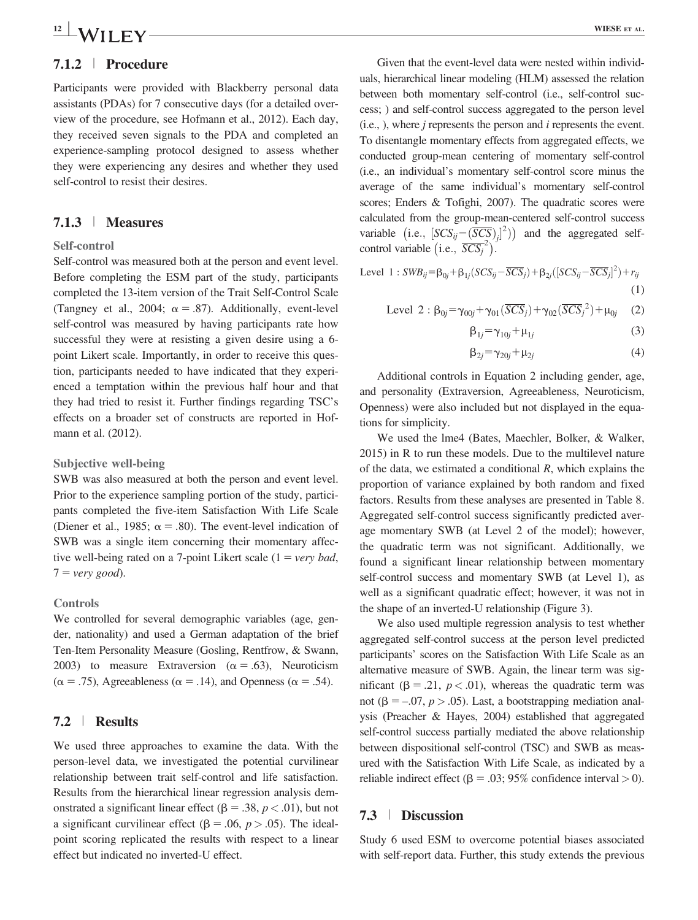# $\frac{12}{\text{WIESE E T AL}}$

# 7.1.2 <sup>|</sup> Procedure

Participants were provided with Blackberry personal data assistants (PDAs) for 7 consecutive days (for a detailed overview of the procedure, see Hofmann et al., 2012). Each day, they received seven signals to the PDA and completed an experience-sampling protocol designed to assess whether they were experiencing any desires and whether they used self-control to resist their desires.

# 7.1.3 <sup>|</sup> Measures

#### Self-control

Self-control was measured both at the person and event level. Before completing the ESM part of the study, participants completed the 13-item version of the Trait Self-Control Scale (Tangney et al., 2004;  $\alpha = .87$ ). Additionally, event-level self-control was measured by having participants rate how successful they were at resisting a given desire using a 6 point Likert scale. Importantly, in order to receive this question, participants needed to have indicated that they experienced a temptation within the previous half hour and that they had tried to resist it. Further findings regarding TSC's effects on a broader set of constructs are reported in Hofmann et al. (2012).

#### Subjective well-being

SWB was also measured at both the person and event level. Prior to the experience sampling portion of the study, participants completed the five-item Satisfaction With Life Scale (Diener et al., 1985;  $\alpha = .80$ ). The event-level indication of SWB was a single item concerning their momentary affective well-being rated on a 7-point Likert scale  $(1 = \text{very bad},$  $7 = \text{very good}$ ).

#### Controls

We controlled for several demographic variables (age, gender, nationality) and used a German adaptation of the brief Ten-Item Personality Measure (Gosling, Rentfrow, & Swann, 2003) to measure Extraversion ( $\alpha = .63$ ), Neuroticism  $(\alpha = .75)$ , Agreeableness ( $\alpha = .14$ ), and Openness ( $\alpha = .54$ ).

# 7.2 <sup>|</sup> Results

We used three approaches to examine the data. With the person-level data, we investigated the potential curvilinear relationship between trait self-control and life satisfaction. Results from the hierarchical linear regression analysis demonstrated a significant linear effect ( $\beta = .38$ ,  $p < .01$ ), but not a significant curvilinear effect ( $\beta = .06$ ,  $p > .05$ ). The idealpoint scoring replicated the results with respect to a linear effect but indicated no inverted-U effect.

Given that the event-level data were nested within individuals, hierarchical linear modeling (HLM) assessed the relation between both momentary self-control (i.e., self-control success; ) and self-control success aggregated to the person level (i.e., ), where j represents the person and i represents the event. To disentangle momentary effects from aggregated effects, we conducted group-mean centering of momentary self-control (i.e., an individual's momentary self-control score minus the average of the same individual's momentary self-control scores; Enders & Tofighi, 2007). The quadratic scores were calculated from the group-mean-centered self-control success variable (i.e.,  $[SCS_{ij} - (\overline{SCS})_j]^2$ ) and the aggregated selfcontrol variable (i.e.,  $\overline{SCS_j}^2$ ).

Level 1 : 
$$
SWB_{ij} = \beta_{0j} + \beta_{1j}(SCS_{ij} - \overline{SCS}_j) + \beta_{2j}([SCS_{ij} - \overline{SCS}_j]^2) + r_{ij}
$$
  
(1)

Level 2: 
$$
\beta_{0j} = \gamma_{00j} + \gamma_{01} (\overline{SCS}_j) + \gamma_{02} (\overline{SCS}_j{}^2) + \mu_{0j}
$$
 (2)

$$
\beta_{1j} = \gamma_{10j} + \mu_{1j} \tag{3}
$$

$$
\beta_{2j} = \gamma_{20j} + \mu_{2j} \tag{4}
$$

Additional controls in Equation 2 including gender, age, and personality (Extraversion, Agreeableness, Neuroticism, Openness) were also included but not displayed in the equations for simplicity.

We used the lme4 (Bates, Maechler, Bolker, & Walker, 2015) in R to run these models. Due to the multilevel nature of the data, we estimated a conditional  $R$ , which explains the proportion of variance explained by both random and fixed factors. Results from these analyses are presented in Table 8. Aggregated self-control success significantly predicted average momentary SWB (at Level 2 of the model); however, the quadratic term was not significant. Additionally, we found a significant linear relationship between momentary self-control success and momentary SWB (at Level 1), as well as a significant quadratic effect; however, it was not in the shape of an inverted-U relationship (Figure 3).

We also used multiple regression analysis to test whether aggregated self-control success at the person level predicted participants' scores on the Satisfaction With Life Scale as an alternative measure of SWB. Again, the linear term was significant ( $\beta = .21$ ,  $p < .01$ ), whereas the quadratic term was not ( $\beta = -.07, p > .05$ ). Last, a bootstrapping mediation analysis (Preacher & Hayes, 2004) established that aggregated self-control success partially mediated the above relationship between dispositional self-control (TSC) and SWB as measured with the Satisfaction With Life Scale, as indicated by a reliable indirect effect ( $\beta = .03$ ; 95% confidence interval > 0).

### 7.3 <sup>|</sup> Discussion

Study 6 used ESM to overcome potential biases associated with self-report data. Further, this study extends the previous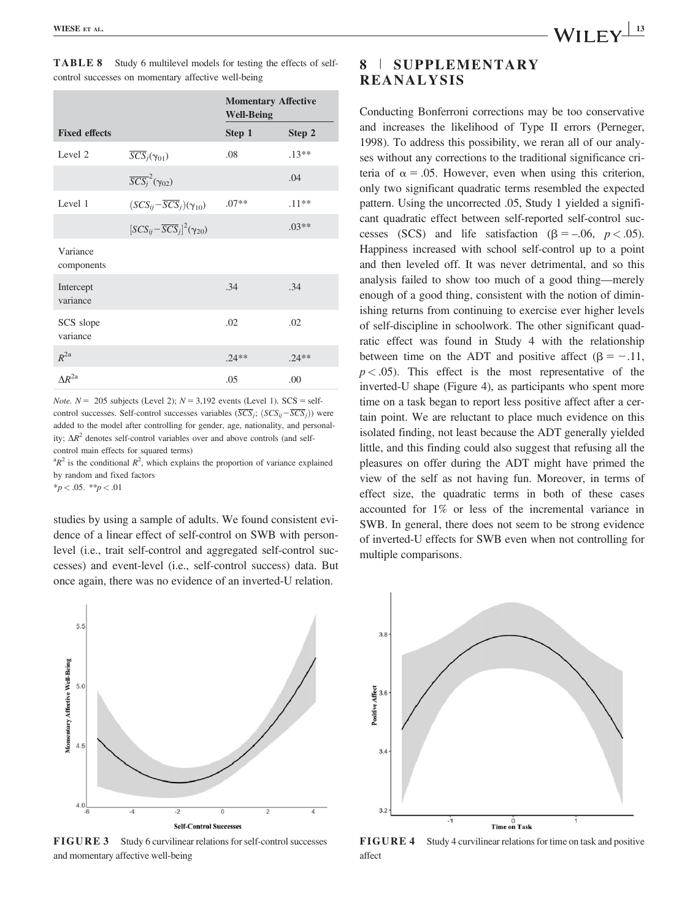|                        |                                                  | <b>Momentary Affective</b><br><b>Well-Being</b> |         |  |  |  |
|------------------------|--------------------------------------------------|-------------------------------------------------|---------|--|--|--|
| <b>Fixed effects</b>   |                                                  | Step 1                                          | Step 2  |  |  |  |
| Level 2                | $\overline{SCS}_j(\gamma_{01})$                  | .08                                             | $.13**$ |  |  |  |
|                        | $\overline{SCS_j}^2(\gamma_{02})$                |                                                 | .04     |  |  |  |
| Level 1                | $(SCS_{ij} - \overline{SCS}_i)(\gamma_{10})$     | $.07**$                                         | $.11**$ |  |  |  |
|                        | $[SCS_{ij}-\overline{SCS}_{i}]^{2}(\gamma_{20})$ |                                                 | $.03**$ |  |  |  |
| Variance<br>components |                                                  |                                                 |         |  |  |  |
| Intercept<br>variance  |                                                  | .34                                             | .34     |  |  |  |
| SCS slope<br>variance  |                                                  | .02                                             | .02     |  |  |  |
| $R^{2a}$               |                                                  | $.24**$                                         | $24**$  |  |  |  |
| $\Delta R^{\rm 2a}$    |                                                  | .05                                             | .00     |  |  |  |

TABLE 8 Study 6 multilevel models for testing the effects of selfcontrol successes on momentary affective well-being

*Note.*  $N = 205$  subjects (Level 2);  $N = 3,192$  events (Level 1). SCS = selfcontrol successes. Self-control successes variables  $(\overline{SCS}_i; (SCS_{ii} - \overline{SCS}_i))$  were added to the model after controlling for gender, age, nationality, and personality;  $\Delta R^2$  denotes self-control variables over and above controls (and selfcontrol main effects for squared terms)

 ${}^{a}R^{2}$  is the conditional  $R^{2}$ , which explains the proportion of variance explained by random and fixed factors

 $*_{p} < .05.$  \*\*p  $< .01$ 

studies by using a sample of adults. We found consistent evidence of a linear effect of self-control on SWB with personlevel (i.e., trait self-control and aggregated self-control successes) and event-level (i.e., self-control success) data. But once again, there was no evidence of an inverted-U relation.



FIGURE 3 Study 6 curvilinear relations for self-control successes and momentary affective well-being

# 8 <sup>|</sup> SUPPLEMENTARY REANALYSIS

Conducting Bonferroni corrections may be too conservative and increases the likelihood of Type II errors (Perneger, 1998). To address this possibility, we reran all of our analyses without any corrections to the traditional significance criteria of  $\alpha = .05$ . However, even when using this criterion, only two significant quadratic terms resembled the expected pattern. Using the uncorrected .05, Study 1 yielded a significant quadratic effect between self-reported self-control successes (SCS) and life satisfaction ( $\beta = -.06$ ,  $p < .05$ ). Happiness increased with school self-control up to a point and then leveled off. It was never detrimental, and so this analysis failed to show too much of a good thing—merely enough of a good thing, consistent with the notion of diminishing returns from continuing to exercise ever higher levels of self-discipline in schoolwork. The other significant quadratic effect was found in Study 4 with the relationship between time on the ADT and positive affect ( $\beta = -.11$ ,  $p < .05$ ). This effect is the most representative of the inverted-U shape (Figure 4), as participants who spent more time on a task began to report less positive affect after a certain point. We are reluctant to place much evidence on this isolated finding, not least because the ADT generally yielded little, and this finding could also suggest that refusing all the pleasures on offer during the ADT might have primed the view of the self as not having fun. Moreover, in terms of effect size, the quadratic terms in both of these cases accounted for 1% or less of the incremental variance in SWB. In general, there does not seem to be strong evidence of inverted-U effects for SWB even when not controlling for multiple comparisons.



FIGURE 4 Study 4 curvilinear relations for time on task and positive affect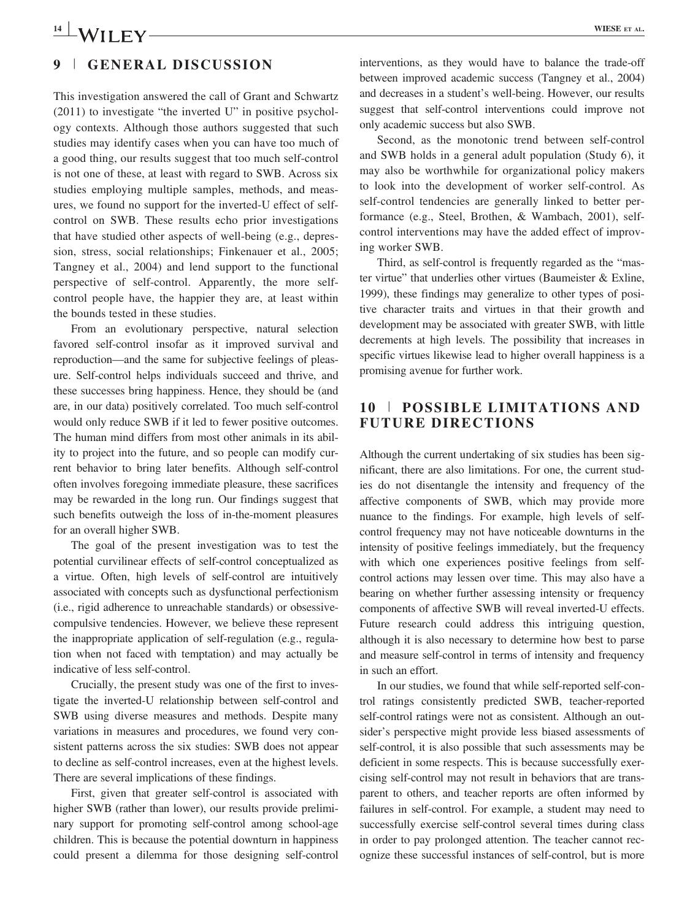# $\frac{14}{14}$  WII FV  $\frac{WIESE_{ETAL}}{WIESE_{ETAL}}$

# 9 <sup>|</sup> GENERAL DISCUSSION

This investigation answered the call of Grant and Schwartz (2011) to investigate "the inverted U" in positive psychology contexts. Although those authors suggested that such studies may identify cases when you can have too much of a good thing, our results suggest that too much self-control is not one of these, at least with regard to SWB. Across six studies employing multiple samples, methods, and measures, we found no support for the inverted-U effect of selfcontrol on SWB. These results echo prior investigations that have studied other aspects of well-being (e.g., depression, stress, social relationships; Finkenauer et al., 2005; Tangney et al., 2004) and lend support to the functional perspective of self-control. Apparently, the more selfcontrol people have, the happier they are, at least within the bounds tested in these studies.

From an evolutionary perspective, natural selection favored self-control insofar as it improved survival and reproduction—and the same for subjective feelings of pleasure. Self-control helps individuals succeed and thrive, and these successes bring happiness. Hence, they should be (and are, in our data) positively correlated. Too much self-control would only reduce SWB if it led to fewer positive outcomes. The human mind differs from most other animals in its ability to project into the future, and so people can modify current behavior to bring later benefits. Although self-control often involves foregoing immediate pleasure, these sacrifices may be rewarded in the long run. Our findings suggest that such benefits outweigh the loss of in-the-moment pleasures for an overall higher SWB.

The goal of the present investigation was to test the potential curvilinear effects of self-control conceptualized as a virtue. Often, high levels of self-control are intuitively associated with concepts such as dysfunctional perfectionism (i.e., rigid adherence to unreachable standards) or obsessivecompulsive tendencies. However, we believe these represent the inappropriate application of self-regulation (e.g., regulation when not faced with temptation) and may actually be indicative of less self-control.

Crucially, the present study was one of the first to investigate the inverted-U relationship between self-control and SWB using diverse measures and methods. Despite many variations in measures and procedures, we found very consistent patterns across the six studies: SWB does not appear to decline as self-control increases, even at the highest levels. There are several implications of these findings.

First, given that greater self-control is associated with higher SWB (rather than lower), our results provide preliminary support for promoting self-control among school-age children. This is because the potential downturn in happiness could present a dilemma for those designing self-control

interventions, as they would have to balance the trade-off between improved academic success (Tangney et al., 2004) and decreases in a student's well-being. However, our results suggest that self-control interventions could improve not only academic success but also SWB.

Second, as the monotonic trend between self-control and SWB holds in a general adult population (Study 6), it may also be worthwhile for organizational policy makers to look into the development of worker self-control. As self-control tendencies are generally linked to better performance (e.g., Steel, Brothen, & Wambach, 2001), selfcontrol interventions may have the added effect of improving worker SWB.

Third, as self-control is frequently regarded as the "master virtue" that underlies other virtues (Baumeister & Exline, 1999), these findings may generalize to other types of positive character traits and virtues in that their growth and development may be associated with greater SWB, with little decrements at high levels. The possibility that increases in specific virtues likewise lead to higher overall happiness is a promising avenue for further work.

# 10 | POSSIBLE LIMITATIONS AND FUTURE DIRECTIONS

Although the current undertaking of six studies has been significant, there are also limitations. For one, the current studies do not disentangle the intensity and frequency of the affective components of SWB, which may provide more nuance to the findings. For example, high levels of selfcontrol frequency may not have noticeable downturns in the intensity of positive feelings immediately, but the frequency with which one experiences positive feelings from selfcontrol actions may lessen over time. This may also have a bearing on whether further assessing intensity or frequency components of affective SWB will reveal inverted-U effects. Future research could address this intriguing question, although it is also necessary to determine how best to parse and measure self-control in terms of intensity and frequency in such an effort.

In our studies, we found that while self-reported self-control ratings consistently predicted SWB, teacher-reported self-control ratings were not as consistent. Although an outsider's perspective might provide less biased assessments of self-control, it is also possible that such assessments may be deficient in some respects. This is because successfully exercising self-control may not result in behaviors that are transparent to others, and teacher reports are often informed by failures in self-control. For example, a student may need to successfully exercise self-control several times during class in order to pay prolonged attention. The teacher cannot recognize these successful instances of self-control, but is more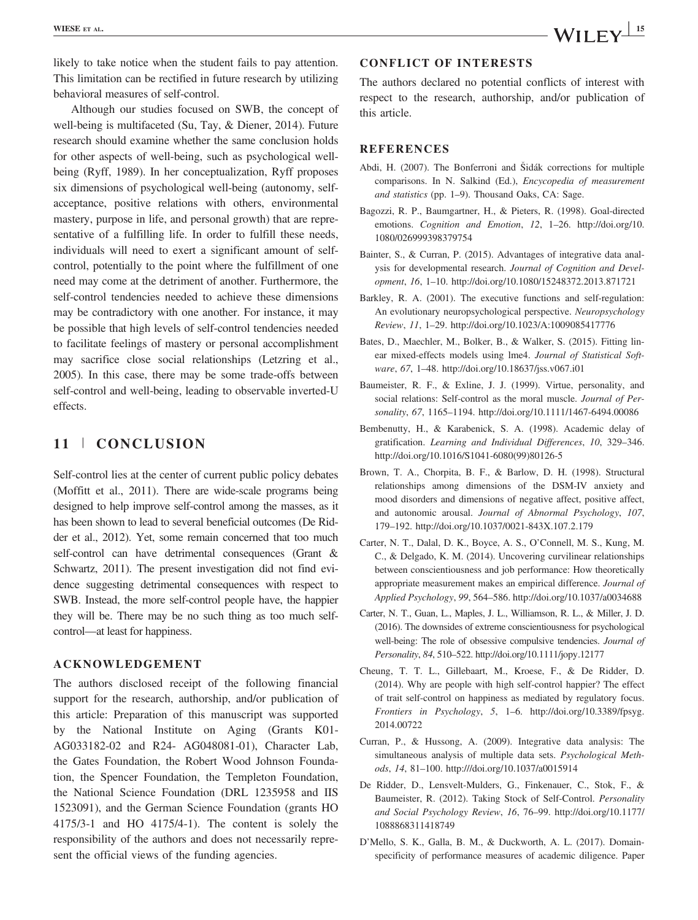likely to take notice when the student fails to pay attention. This limitation can be rectified in future research by utilizing behavioral measures of self-control.

Although our studies focused on SWB, the concept of well-being is multifaceted (Su, Tay, & Diener, 2014). Future research should examine whether the same conclusion holds for other aspects of well-being, such as psychological wellbeing (Ryff, 1989). In her conceptualization, Ryff proposes six dimensions of psychological well-being (autonomy, selfacceptance, positive relations with others, environmental mastery, purpose in life, and personal growth) that are representative of a fulfilling life. In order to fulfill these needs, individuals will need to exert a significant amount of selfcontrol, potentially to the point where the fulfillment of one need may come at the detriment of another. Furthermore, the self-control tendencies needed to achieve these dimensions may be contradictory with one another. For instance, it may be possible that high levels of self-control tendencies needed to facilitate feelings of mastery or personal accomplishment may sacrifice close social relationships (Letzring et al., 2005). In this case, there may be some trade-offs between self-control and well-being, leading to observable inverted-U effects.

# 11 | CONCLUSION

Self-control lies at the center of current public policy debates (Moffitt et al., 2011). There are wide-scale programs being designed to help improve self-control among the masses, as it has been shown to lead to several beneficial outcomes (De Ridder et al., 2012). Yet, some remain concerned that too much self-control can have detrimental consequences (Grant & Schwartz, 2011). The present investigation did not find evidence suggesting detrimental consequences with respect to SWB. Instead, the more self-control people have, the happier they will be. There may be no such thing as too much selfcontrol—at least for happiness.

#### ACKNOWLEDGEMENT

The authors disclosed receipt of the following financial support for the research, authorship, and/or publication of this article: Preparation of this manuscript was supported by the National Institute on Aging (Grants K01- AG033182-02 and R24- AG048081-01), Character Lab, the Gates Foundation, the Robert Wood Johnson Foundation, the Spencer Foundation, the Templeton Foundation, the National Science Foundation (DRL 1235958 and IIS 1523091), and the German Science Foundation (grants HO 4175/3-1 and HO 4175/4-1). The content is solely the responsibility of the authors and does not necessarily represent the official views of the funding agencies.

#### CONFLICT OF INTERESTS

The authors declared no potential conflicts of interest with respect to the research, authorship, and/or publication of this article.

#### REFERENCES

- Abdi, H. (2007). The Bonferroni and Šidák corrections for multiple comparisons. In N. Salkind (Ed.), Encycopedia of measurement and statistics (pp. 1–9). Thousand Oaks, CA: Sage.
- Bagozzi, R. P., Baumgartner, H., & Pieters, R. (1998). Goal-directed emotions. Cognition and Emotion, 12, 1–26. [http://doi.org/10.](http://doi.org/10.1080/026999398379754) [1080/026999398379754](http://doi.org/10.1080/026999398379754)
- Bainter, S., & Curran, P. (2015). Advantages of integrative data analysis for developmental research. Journal of Cognition and Development, 16, 1–10.<http://doi.org/10.1080/15248372.2013.871721>
- Barkley, R. A. (2001). The executive functions and self-regulation: An evolutionary neuropsychological perspective. Neuropsychology Review, 11, 1–29.<http://doi.org/10.1023/A:1009085417776>
- Bates, D., Maechler, M., Bolker, B., & Walker, S. (2015). Fitting linear mixed-effects models using lme4. Journal of Statistical Software, 67, 1–48.<http://doi.org/10.18637/jss.v067.i01>
- Baumeister, R. F., & Exline, J. J. (1999). Virtue, personality, and social relations: Self-control as the moral muscle. Journal of Personality, 67, 1165–1194.<http://doi.org/10.1111/1467-6494.00086>
- Bembenutty, H., & Karabenick, S. A. (1998). Academic delay of gratification. Learning and Individual Differences, 10, 329–346. [http://doi.org/10.1016/S1041-6080\(99\)80126-5](http://doi.org/10.1016/S1041-6080(99)80126-5)
- Brown, T. A., Chorpita, B. F., & Barlow, D. H. (1998). Structural relationships among dimensions of the DSM-IV anxiety and mood disorders and dimensions of negative affect, positive affect, and autonomic arousal. Journal of Abnormal Psychology, 107, 179–192.<http://doi.org/10.1037/0021-843X.107.2.179>
- Carter, N. T., Dalal, D. K., Boyce, A. S., O'Connell, M. S., Kung, M. C., & Delgado, K. M. (2014). Uncovering curvilinear relationships between conscientiousness and job performance: How theoretically appropriate measurement makes an empirical difference. Journal of Applied Psychology, 99, 564–586.<http://doi.org/10.1037/a0034688>
- Carter, N. T., Guan, L., Maples, J. L., Williamson, R. L., & Miller, J. D. (2016). The downsides of extreme conscientiousness for psychological well-being: The role of obsessive compulsive tendencies. Journal of Personality, 84, 510–522.<http://doi.org/10.1111/jopy.12177>
- Cheung, T. T. L., Gillebaart, M., Kroese, F., & De Ridder, D. (2014). Why are people with high self-control happier? The effect of trait self-control on happiness as mediated by regulatory focus. Frontiers in Psychology, 5, 1–6. [http://doi.org/10.3389/fpsyg.](http://doi.org/10.3389/fpsyg.2014.00722) [2014.00722](http://doi.org/10.3389/fpsyg.2014.00722)
- Curran, P., & Hussong, A. (2009). Integrative data analysis: The simultaneous analysis of multiple data sets. Psychological Methods, 14, 81–100. http:///doi.org/10.1037/a0015914
- De Ridder, D., Lensvelt-Mulders, G., Finkenauer, C., Stok, F., & Baumeister, R. (2012). Taking Stock of Self-Control. Personality and Social Psychology Review, 16, 76–99. [http://doi.org/10.1177/](http://doi.org/10.1177/1088868311418749) [1088868311418749](http://doi.org/10.1177/1088868311418749)
- D'Mello, S. K., Galla, B. M., & Duckworth, A. L. (2017). Domainspecificity of performance measures of academic diligence. Paper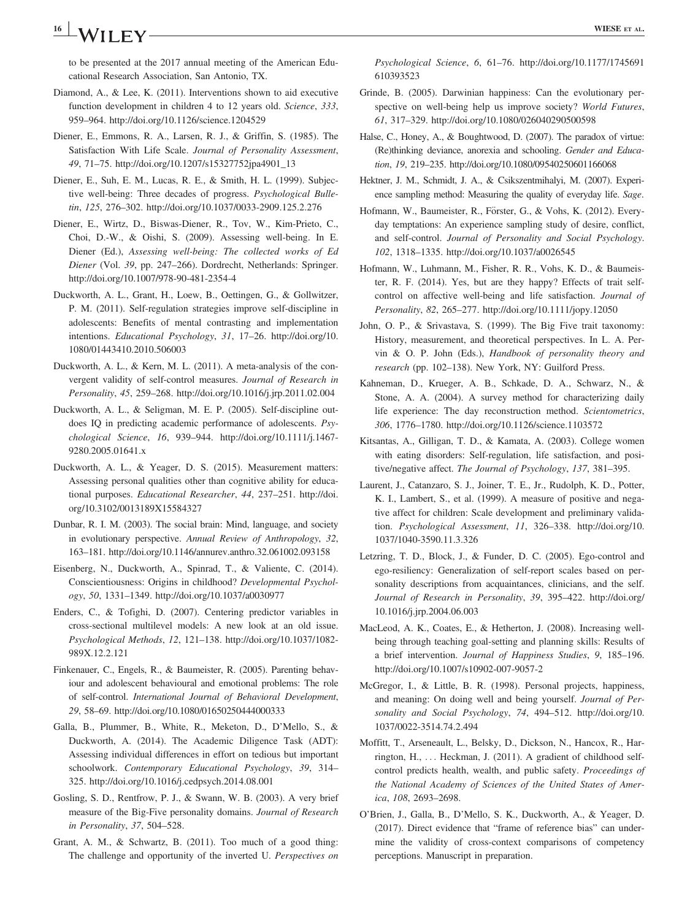# $\frac{16}{\text{WIESE}_{ETAL}}$  WIESE ET AL.

to be presented at the 2017 annual meeting of the American Educational Research Association, San Antonio, TX.

- Diamond, A., & Lee, K. (2011). Interventions shown to aid executive function development in children 4 to 12 years old. Science, 333, 959–964.<http://doi.org/10.1126/science.1204529>
- Diener, E., Emmons, R. A., Larsen, R. J., & Griffin, S. (1985). The Satisfaction With Life Scale. Journal of Personality Assessment, 49, 71–75. [http://doi.org/10.1207/s15327752jpa4901\\_13](http://doi.org/10.1207/s15327752jpa4901_13)
- Diener, E., Suh, E. M., Lucas, R. E., & Smith, H. L. (1999). Subjective well-being: Three decades of progress. Psychological Bulletin, 125, 276–302.<http://doi.org/10.1037/0033-2909.125.2.276>
- Diener, E., Wirtz, D., Biswas-Diener, R., Tov, W., Kim-Prieto, C., Choi, D.-W., & Oishi, S. (2009). Assessing well-being. In E. Diener (Ed.), Assessing well-being: The collected works of Ed Diener (Vol. 39, pp. 247–266). Dordrecht, Netherlands: Springer. <http://doi.org/10.1007/978-90-481-2354-4>
- Duckworth, A. L., Grant, H., Loew, B., Oettingen, G., & Gollwitzer, P. M. (2011). Self-regulation strategies improve self-discipline in adolescents: Benefits of mental contrasting and implementation intentions. Educational Psychology, 31, 17–26. [http://doi.org/10.](http://doi.org/10.1080/01443410.2010.506003) [1080/01443410.2010.506003](http://doi.org/10.1080/01443410.2010.506003)
- Duckworth, A. L., & Kern, M. L. (2011). A meta-analysis of the convergent validity of self-control measures. Journal of Research in Personality, 45, 259–268.<http://doi.org/10.1016/j.jrp.2011.02.004>
- Duckworth, A. L., & Seligman, M. E. P. (2005). Self-discipline outdoes IQ in predicting academic performance of adolescents. Psychological Science, 16, 939–944. [http://doi.org/10.1111/j.1467-](http://doi.org/10.1111/j.1467-9280.2005.01641.x) [9280.2005.01641.x](http://doi.org/10.1111/j.1467-9280.2005.01641.x)
- Duckworth, A. L., & Yeager, D. S. (2015). Measurement matters: Assessing personal qualities other than cognitive ability for educational purposes. Educational Researcher, 44, 237–251. [http://doi.](http://doi.org/10.3102/0013189X15584327) [org/10.3102/0013189X15584327](http://doi.org/10.3102/0013189X15584327)
- Dunbar, R. I. M. (2003). The social brain: Mind, language, and society in evolutionary perspective. Annual Review of Anthropology, 32, 163–181.<http://doi.org/10.1146/annurev.anthro.32.061002.093158>
- Eisenberg, N., Duckworth, A., Spinrad, T., & Valiente, C. (2014). Conscientiousness: Origins in childhood? Developmental Psychology, 50, 1331–1349.<http://doi.org/10.1037/a0030977>
- Enders, C., & Tofighi, D. (2007). Centering predictor variables in cross-sectional multilevel models: A new look at an old issue. Psychological Methods, 12, 121–138. [http://doi.org/10.1037/1082-](http://doi.org/10.1037/1082-989X.12.2.121) [989X.12.2.121](http://doi.org/10.1037/1082-989X.12.2.121)
- Finkenauer, C., Engels, R., & Baumeister, R. (2005). Parenting behaviour and adolescent behavioural and emotional problems: The role of self-control. International Journal of Behavioral Development, 29, 58–69.<http://doi.org/10.1080/01650250444000333>
- Galla, B., Plummer, B., White, R., Meketon, D., D'Mello, S., & Duckworth, A. (2014). The Academic Diligence Task (ADT): Assessing individual differences in effort on tedious but important schoolwork. Contemporary Educational Psychology, 39, 314– 325.<http://doi.org/10.1016/j.cedpsych.2014.08.001>
- Gosling, S. D., Rentfrow, P. J., & Swann, W. B. (2003). A very brief measure of the Big-Five personality domains. Journal of Research in Personality, 37, 504–528.
- Grant, A. M., & Schwartz, B. (2011). Too much of a good thing: The challenge and opportunity of the inverted U. Perspectives on

Psychological Science, 6, 61–76. [http://doi.org/10.1177/1745691](http://doi.org/10.1177/1745691610393523) [610393523](http://doi.org/10.1177/1745691610393523)

- Grinde, B. (2005). Darwinian happiness: Can the evolutionary perspective on well-being help us improve society? World Futures, 61, 317–329.<http://doi.org/10.1080/026040290500598>
- Halse, C., Honey, A., & Boughtwood, D. (2007). The paradox of virtue: (Re)thinking deviance, anorexia and schooling. Gender and Education, 19, 219–235.<http://doi.org/10.1080/09540250601166068>
- Hektner, J. M., Schmidt, J. A., & Csikszentmihalyi, M. (2007). Experience sampling method: Measuring the quality of everyday life. Sage.
- Hofmann, W., Baumeister, R., Förster, G., & Vohs, K. (2012). Everyday temptations: An experience sampling study of desire, conflict, and self-control. Journal of Personality and Social Psychology. 102, 1318–1335.<http://doi.org/10.1037/a0026545>
- Hofmann, W., Luhmann, M., Fisher, R. R., Vohs, K. D., & Baumeister, R. F. (2014). Yes, but are they happy? Effects of trait selfcontrol on affective well-being and life satisfaction. Journal of Personality, 82, 265–277.<http://doi.org/10.1111/jopy.12050>
- John, O. P., & Srivastava, S. (1999). The Big Five trait taxonomy: History, measurement, and theoretical perspectives. In L. A. Pervin & O. P. John (Eds.), Handbook of personality theory and research (pp. 102–138). New York, NY: Guilford Press.
- Kahneman, D., Krueger, A. B., Schkade, D. A., Schwarz, N., & Stone, A. A. (2004). A survey method for characterizing daily life experience: The day reconstruction method. Scientometrics, 306, 1776–1780.<http://doi.org/10.1126/science.1103572>
- Kitsantas, A., Gilligan, T. D., & Kamata, A. (2003). College women with eating disorders: Self-regulation, life satisfaction, and positive/negative affect. The Journal of Psychology, 137, 381–395.
- Laurent, J., Catanzaro, S. J., Joiner, T. E., Jr., Rudolph, K. D., Potter, K. I., Lambert, S., et al. (1999). A measure of positive and negative affect for children: Scale development and preliminary validation. Psychological Assessment, 11, 326–338. [http://doi.org/10.](http://doi.org/10.1037/1040-3590.11.3.326) [1037/1040-3590.11.3.326](http://doi.org/10.1037/1040-3590.11.3.326)
- Letzring, T. D., Block, J., & Funder, D. C. (2005). Ego-control and ego-resiliency: Generalization of self-report scales based on personality descriptions from acquaintances, clinicians, and the self. Journal of Research in Personality, 39, 395–422. [http://doi.org/](http://doi.org/10.1016/j.jrp.2004.06.003) [10.1016/j.jrp.2004.06.003](http://doi.org/10.1016/j.jrp.2004.06.003)
- MacLeod, A. K., Coates, E., & Hetherton, J. (2008). Increasing wellbeing through teaching goal-setting and planning skills: Results of a brief intervention. Journal of Happiness Studies, 9, 185–196. <http://doi.org/10.1007/s10902-007-9057-2>
- McGregor, I., & Little, B. R. (1998). Personal projects, happiness, and meaning: On doing well and being yourself. Journal of Personality and Social Psychology, 74, 494–512. [http://doi.org/10.](http://doi.org/10.1037/0022-3514.74.2.494) [1037/0022-3514.74.2.494](http://doi.org/10.1037/0022-3514.74.2.494)
- Moffitt, T., Arseneault, L., Belsky, D., Dickson, N., Hancox, R., Harrington, H., ... Heckman, J. (2011). A gradient of childhood selfcontrol predicts health, wealth, and public safety. Proceedings of the National Academy of Sciences of the United States of America, 108, 2693–2698.
- O'Brien, J., Galla, B., D'Mello, S. K., Duckworth, A., & Yeager, D. (2017). Direct evidence that "frame of reference bias" can undermine the validity of cross-context comparisons of competency perceptions. Manuscript in preparation.